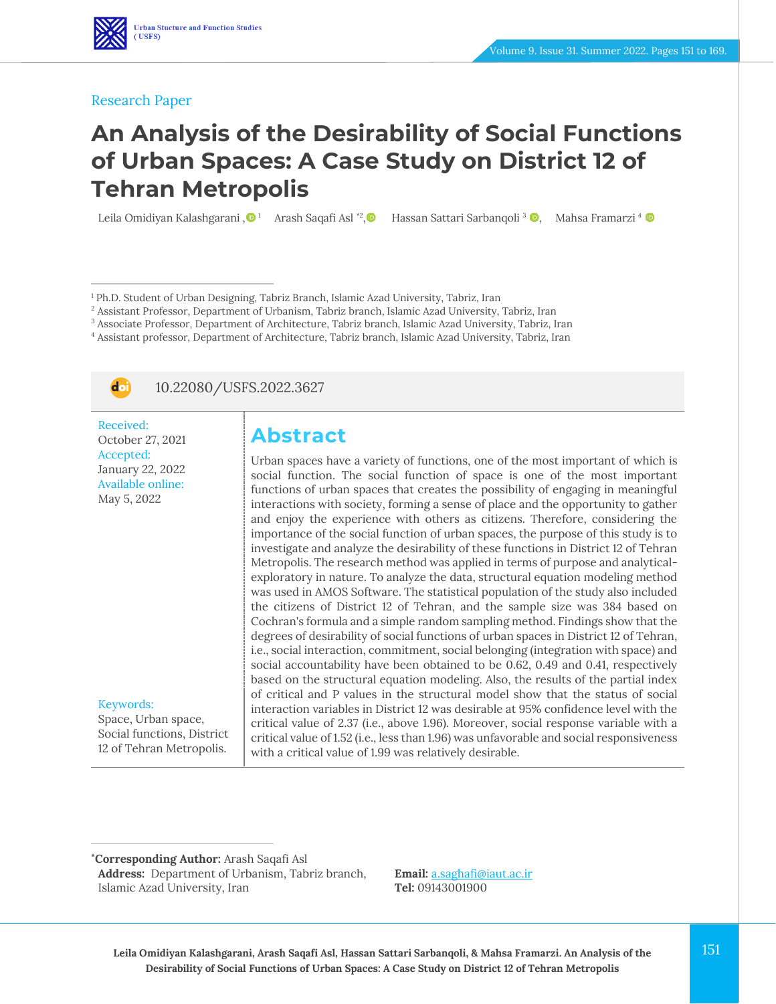#### Research Paper

# **An Analysis of the Desirability of Social Functions of Urban Spaces: A Case Study on District 12 of Tehran Metropolis**

Leila Omidiyan Kalashgarani [,](https://www.orcid.org/0000-0001-7556-3199) $\mathbf{O}$  ! Arash Saqafi Asl \*?, $\mathbf{O}$  Hassan Sattari Sarbanqoli <sup>3</sup> ®, Mahsa Framarzi <sup>4</sup>

<sup>1</sup> Ph.D. Student of Urban Designing, Tabriz Branch, Islamic Azad University, Tabriz, Iran

<sup>2</sup> Assistant Professor, Department of Urbanism, Tabriz branch, Islamic Azad University, Tabriz, Iran

<sup>3</sup> Associate Professor, Department of Architecture, Tabriz branch, Islamic Azad University, Tabriz, Iran

<sup>4</sup> Assistant professor, Department of Architecture, Tabriz branch, Islamic Azad University, Tabriz, Iran



10.22080/USFS.2022.3627

Received: October 27, 2021 Accepted: January 22, 2022 Available online: May 5, 2022

Keywords:

Space, Urban space, Social functions, District 12 of Tehran Metropolis.

# **Abstract**

Urban spaces have a variety of functions, one of the most important of which is social function. The social function of space is one of the most important functions of urban spaces that creates the possibility of engaging in meaningful interactions with society, forming a sense of place and the opportunity to gather and enjoy the experience with others as citizens. Therefore, considering the importance of the social function of urban spaces, the purpose of this study is to investigate and analyze the desirability of these functions in District 12 of Tehran Metropolis. The research method was applied in terms of purpose and analyticalexploratory in nature. To analyze the data, structural equation modeling method was used in AMOS Software. The statistical population of the study also included the citizens of District 12 of Tehran, and the sample size was 384 based on Cochran's formula and a simple random sampling method. Findings show that the degrees of desirability of social functions of urban spaces in District 12 of Tehran, i.e., social interaction, commitment, social belonging (integration with space) and social accountability have been obtained to be 0.62, 0.49 and 0.41, respectively based on the structural equation modeling. Also, the results of the partial index of critical and P values in the structural model show that the status of social interaction variables in District 12 was desirable at 95% confidence level with the critical value of 2.37 (i.e., above 1.96). Moreover, social response variable with a critical value of 1.52 (i.e., less than 1.96) was unfavorable and social responsiveness with a critical value of 1.99 was relatively desirable.

**\*Corresponding Author:** Arash Saqafi Asl

**Address:** Department of Urbanism, Tabriz branch, Islamic Azad University, Iran

**Email:** [a.saghafi@iaut.ac.ir](file:///C:/Users/farha/Desktop/UFTS-01-1401/Temp/a.saghafi@iaut.ac.ir) **Tel:** 09143001900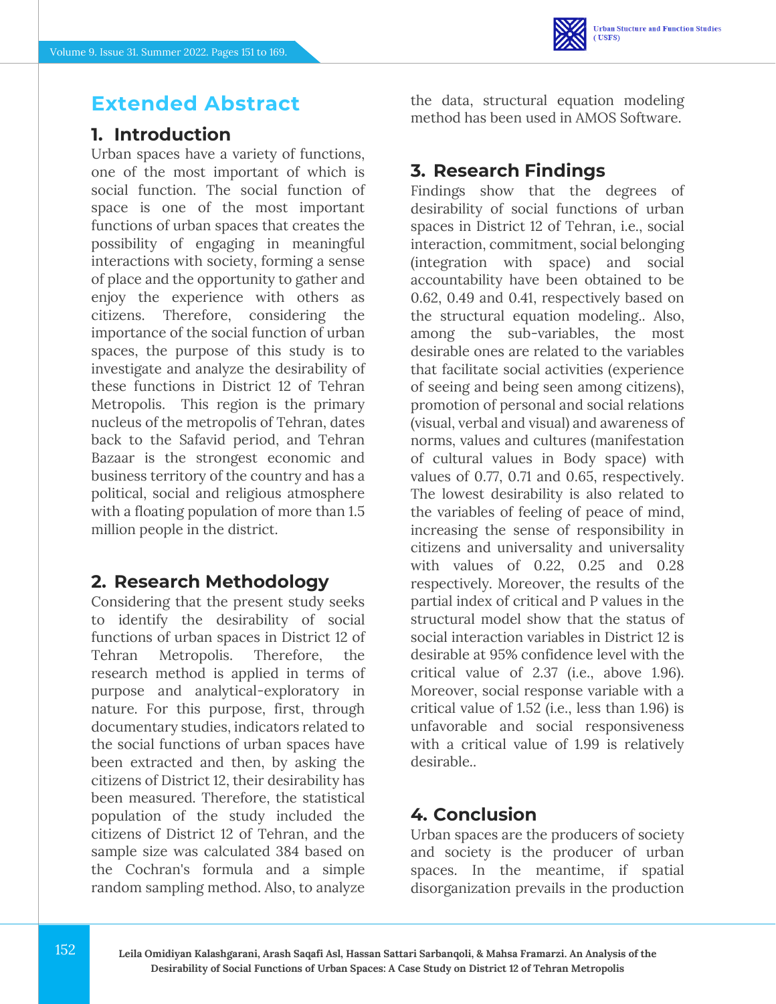# **Extended Abstract**

## **1. Introduction**

Urban spaces have a variety of functions, one of the most important of which is social function. The social function of space is one of the most important functions of urban spaces that creates the possibility of engaging in meaningful interactions with society, forming a sense of place and the opportunity to gather and enjoy the experience with others as citizens. Therefore, considering the importance of the social function of urban spaces, the purpose of this study is to investigate and analyze the desirability of these functions in District 12 of Tehran Metropolis. This region is the primary nucleus of the metropolis of Tehran, dates back to the Safavid period, and Tehran Bazaar is the strongest economic and business territory of the country and has a political, social and religious atmosphere with a floating population of more than 1.5 million people in the district.

### **2. Research Methodology**

Considering that the present study seeks to identify the desirability of social functions of urban spaces in District 12 of Tehran Metropolis. Therefore, the research method is applied in terms of purpose and analytical-exploratory in nature. For this purpose, first, through documentary studies, indicators related to the social functions of urban spaces have been extracted and then, by asking the citizens of District 12, their desirability has been measured. Therefore, the statistical population of the study included the citizens of District 12 of Tehran, and the sample size was calculated 384 based on the Cochran's formula and a simple random sampling method. Also, to analyze

the data, structural equation modeling method has been used in AMOS Software.

# **3. Research Findings**

Findings show that the degrees of desirability of social functions of urban spaces in District 12 of Tehran, i.e., social interaction, commitment, social belonging (integration with space) and social accountability have been obtained to be 0.62, 0.49 and 0.41, respectively based on the structural equation modeling.. Also, among the sub-variables, the most desirable ones are related to the variables that facilitate social activities (experience of seeing and being seen among citizens), promotion of personal and social relations (visual, verbal and visual) and awareness of norms, values and cultures (manifestation of cultural values in Body space) with values of 0.77, 0.71 and 0.65, respectively. The lowest desirability is also related to the variables of feeling of peace of mind, increasing the sense of responsibility in citizens and universality and universality with values of 0.22, 0.25 and 0.28 respectively. Moreover, the results of the partial index of critical and P values in the structural model show that the status of social interaction variables in District 12 is desirable at 95% confidence level with the critical value of 2.37 (i.e., above 1.96). Moreover, social response variable with a critical value of 1.52 (i.e., less than 1.96) is unfavorable and social responsiveness with a critical value of 1.99 is relatively desirable..

### **4. Conclusion**

Urban spaces are the producers of society and society is the producer of urban spaces. In the meantime, if spatial disorganization prevails in the production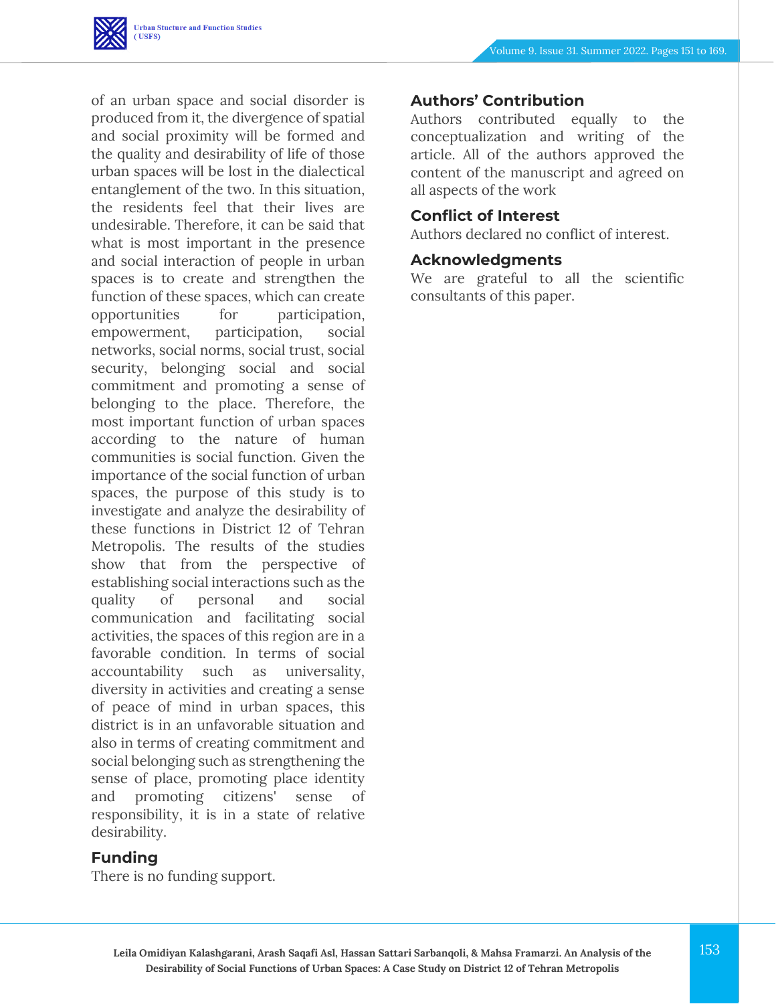

of an urban space and social disorder is produced from it, the divergence of spatial and social proximity will be formed and the quality and desirability of life of those urban spaces will be lost in the dialectical entanglement of the two. In this situation, the residents feel that their lives are undesirable. Therefore, it can be said that what is most important in the presence and social interaction of people in urban spaces is to create and strengthen the function of these spaces, which can create opportunities for participation, empowerment, participation, social networks, social norms, social trust, social security, belonging social and social commitment and promoting a sense of belonging to the place. Therefore, the most important function of urban spaces according to the nature of human communities is social function. Given the importance of the social function of urban spaces, the purpose of this study is to investigate and analyze the desirability of these functions in District 12 of Tehran Metropolis. The results of the studies show that from the perspective of establishing social interactions such as the quality of personal and social communication and facilitating social activities, the spaces of this region are in a favorable condition. In terms of social accountability such as universality, diversity in activities and creating a sense of peace of mind in urban spaces, this district is in an unfavorable situation and also in terms of creating commitment and social belonging such as strengthening the sense of place, promoting place identity and promoting citizens' sense of responsibility, it is in a state of relative desirability.

#### **Funding**

There is no funding support.

#### **Authors' Contribution**

Authors contributed equally to the conceptualization and writing of the article. All of the authors approved the content of the manuscript and agreed on all aspects of the work

#### **Conflict of Interest**

Authors declared no conflict of interest.

#### **Acknowledgments**

We are grateful to all the scientific consultants of this paper.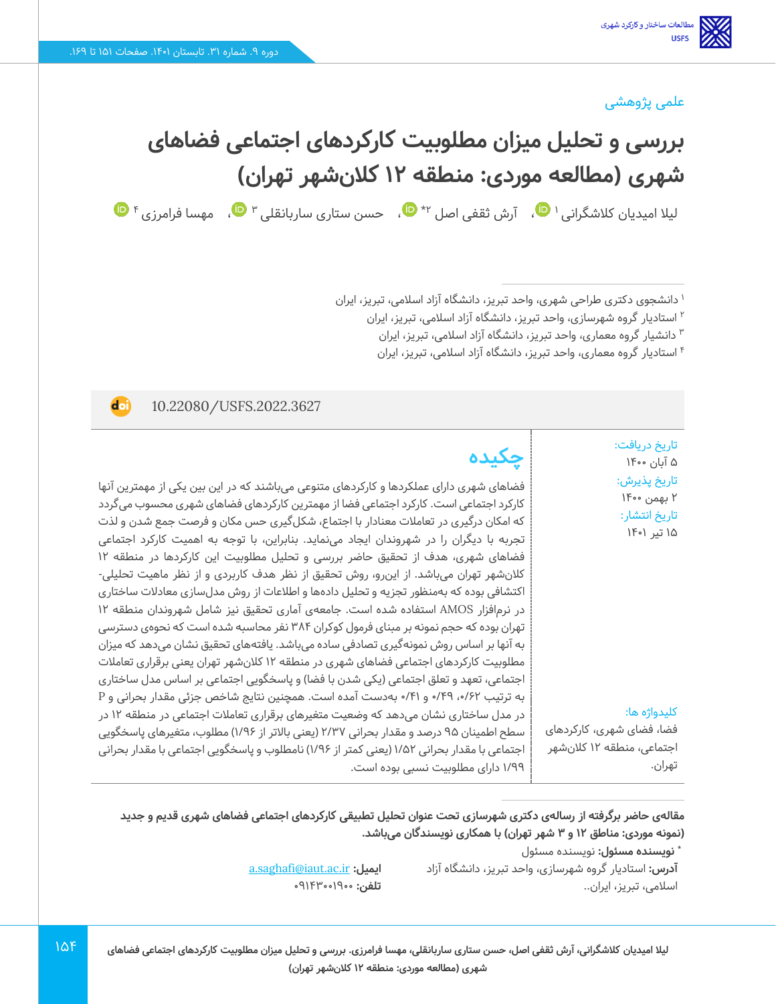#### علمی پژوهشی

# **بررسی و تحلیل میزان مطلوبیت کارکردهای اجتماعی فضاهای شهری )مطالعه موردی: منطقه 12 کالنشهر تهران (**  لیلا امیدیان کلاشگرانی اسپ [،](https://www.orcid.org/0000-0001-7556-3199) آرش ثقفی اصل ۲\* مال می ستاری ساربانقلی ۳ مال مهسا فرامرزی ۴

<sup>۱</sup> دانشجوی دکتری طراحی شهری، واحد تبریز، دانشگاه آزاد اسلامی، تبریز، ایران

استادیار گروه شهرسازی، واحد تبریز، دانشگاه آزاد اسالمی، تبریز، ایران <sup>2</sup>

دانشیار گروه معماری، واحد تبریز، دانشگاه آزاد اسلامی، تبریز، ایران "

4 استادیار گروه معماری، واحد تبریز، دانشگاه آزاد اسالمی، تبریز، ایران

10.22080/USFS.2022.3627

doi

تاریخ دریافت: 5 آبان 1400 تاریخ پذیرش : 2 بهمن 1400 تاریخ انتشار: 15 تیر 1401

کلیدواژه ها:

تهران.

فضا، فضای شهری، کارکردهای اجتماعی، منطقه 12 کالنشهر

اسالمی، تبریز، ایران..

**چکیده**

فضاهای شهری دارای عملکردها و کارکردهای متنوعی میباشند که در این بین یکی از مهمترین آنها کارکرد اجتماعی است. کارکرد اجتماعی فضا از مهمترین کارکردهای فضاهای شهری محسوب میگردد که امکان درگیری در تعامالت معنادار با اجتماع، شکلگیری حس مکان و فرصت جمع شدن و لذت تجربه با دیگران را در شهروندان ایجاد مینماید. بنابراین، با توجه به اهمیت کارکرد اجتماعی فضاهای شهری، هدف از تحقیق حاضر بررسی و تحلیل مطلوبیت این کارکردها در منطقه 12 کالنشهر تهران میباشد. از اینرو، روش تحقیق از نظر هدف کاربردی و از نظر ماهیت تحلیلی- اکتشافی بوده که به منظور تجزیه و تحلیل دادهها و اطالعات از روش مدلسازی معادالت ساختاری در نرمافزار AMOS استفاده شده است. جامعهی آماری تحقیق نیز شامل شهروندان منطقه 12 تهران بوده که حجم نمونه بر مبنای فرمول کوکران 384 نفر محاسبه شده است که نحوهی دسترسی به آنها بر اساس روش نمونهگیری تصادفی ساده میباشد. یافتههای تحقیق نشان میدهد که میزان مطلوبیت کارکردهای اجتماعی فضاهای شهری در منطقه 12 کالنشهر تهران یعنی برقراری تعامالت اجتماعی، تعهد و تعلق اجتماعی (یکی شدن با فضا) و پاسخگویی اجتماعی بر اساس مدل ساختاری به ترتیب ،0/62 /49 0 و 0/41 به دست آمده است. همچنین نتایج شاخص جزئی مقدار بحرانی و P در مدل ساختاری نشان میدهد که وضعیت متغیرهای برقراری تعامالت اجتماعی در منطقه 12 در سطح اطمینان 95 درصد و مقدار بحرانی 2/37 )یعنی باالتر از 1/96( مطلوب، متغیرهای پاسخگویی اجتماعی با مقدار بحرانی 1/52 )یعنی کمتر از 1/96( نامطلوب و پاسخگویی اجتماعی با مقدار بحرانی 1/99 دارای مطلوبیت نسبی بوده است.

مقالهی حاضر برگرفته از رسالهی دکتری شهرسازی تحت عنوان تحلیل تطبیقی کارکردهای اجتماعی فضاهای شهری قدیم و جدید **)نمونه موردی: مناطق 12 و 3 شهر تهران( با همکاری نویسندگان میباشد.** 

> **:** نویسنده مسئول **\* نویسنده مسئول آدرس:** استادیار گروه شهرسازی، واحد تبریز، دانشگاه آزاد

[a.saghafi@iaut.ac.ir](file:///C:/Users/farha/Desktop/UFTS-01-1401/Temp/a.saghafi@iaut.ac.ir) **:ایمیل** ت**لفن: 1**91600000

**لیال امیدیان کالشگرانی، آرش ثقفی اصل، حسن ستاری ساربانقلی، مهسا فرامرزی. بررسی و تحلیل میزان مطلوبیت کارکردهای اجتماعی فضاهای شهری )مطالعه موردی: منطقه 12 کالن شهر تهران(**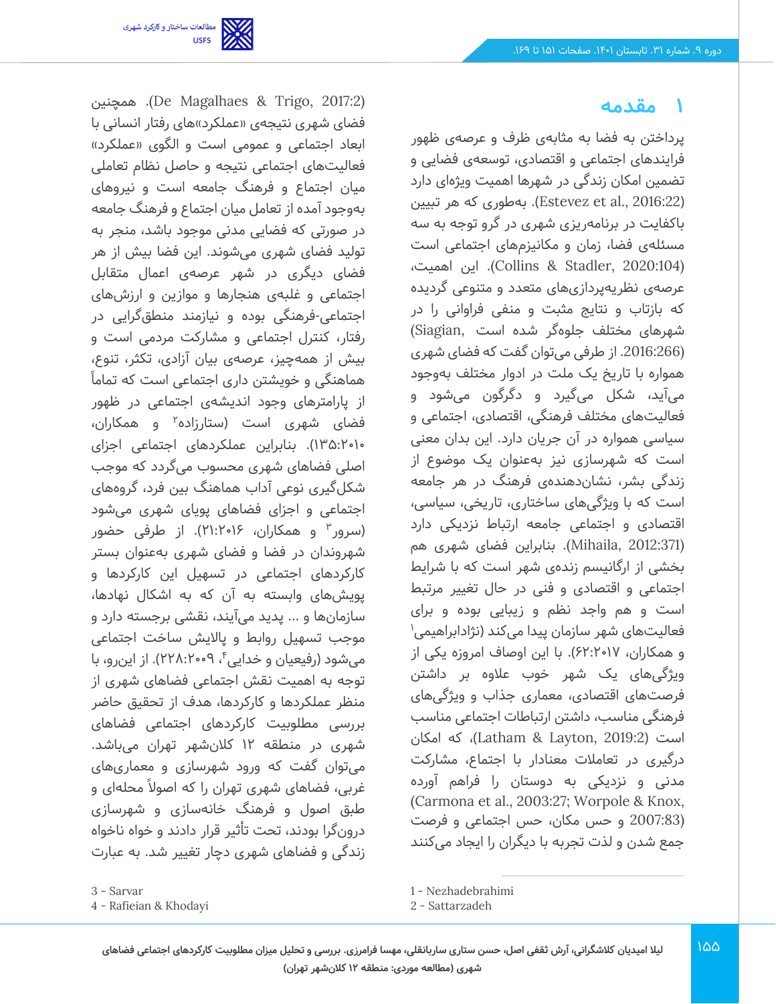

 همچنین .)De Magalhaes & Trigo, 2017:2) فضای شهری نتیجهی «عملکرد»های رفتار انسانی با ابعاد اجتماعی و عمومی است و الگوی «عملکرد» فعالیتهای اجتماعی نتیجه و حاصل نظام تعاملی میان اجتماع و فرهنگ جامعه است و نیروها ی بهوجود آمده از تعامل میان اجتماع و فرهنگ جامعه در صورتی که فضایی مدنی موجود باشد، منجر به تولید فضای شهری میشوند. این فضا بیش از هر فضای دی گری در شهر عر صهی اعمال متقابل اجتماعی و غلبه ی هنجارها و موازین و ارزشهای اجتماعی-فرهنگی بوده و نیازمند منطقگرایی در رفتار، کنترل اجتماعی و مشارکت مردمی است و بیش از همهچیز، عرصهی بیان آزادی، تکثر، تنوع، هماهنگی و خویشتن داری اجتماعی است که تماماً از پارامترهای وجود اندیشهی اجتماعی در ظهور فضای شهری است (ستارزاده<sup>۲</sup> و همکاران، 135:2010(. بنابراین عملکردهای اجتماعی اجزای اصلی فضاهای شهری محسوب می گردد که موجب شکلگیری نوعی آداب هماهنگ بین فرد، گروه های اجتماعی و اجزای فضاهای پویای شهری می شود (سرور ؓ و همکاران، ۲۱:۲۰۱۶). از طرفی حضور شهروندان در فضا و فضای شهری بهعنوان بستر کارکردهای اجتماعی در تسهیل این کارکردها و پو یش های وابسته به آن که به اشکال نهادها، سازمانها و ... پدید می آیند، نقش ی برجسته دارد و موجب تسهیل روابط و پاال یش ساخت اجتماعی میشود (رفیعیان و خداییٴ، ۲۲۸:۲۰۰۹). از اینرو، با توجه به اهمیت نقش اجتماعی فضاهای شهری از منظر عملکردها و کارکردها، هدف از تحقیق حاضر بررسی مطلوبیت کارکردهای اجتماعی فضاهای شهری در منطقه 12 کالنشهر تهران می باشد. میتوان گفت که ورود شهرسازی و معماری های غربی، فضاهای شهری تهران را که اصولاً محلهای و طبق اصول و فرهنگ خانهسازی و شهرساز ی درون گرا بودند، تحت تأثیر قرار دادند و خواه ناخواه زندگی و فضاهای شهری دچار تغییر شد. به عبارت

#### **1 مقدمه**

پرداختن به فضا به مثابهی ظرف و عرصه ی ظهور فرایندهای اجتماعی و اقتصادی، توسعهی فضایی و تضمین امکان زندگی در شهرها اهمیت ویژهای دارد )2016:22 .,al et Estevez). به طوری که هر تبیین باکفایت در برنامهریزی شهری در گرو توجه به سه مسئلهی فضا، زمان و مکانیزمهای اجتماعی است (2020:104 ,Stadler & Collins(. این اهمیت، عرصهی نظریهپردازیهای متعدد و متنوعی گردیده که بازتاب و نتایج مثبت و منفی فراوانی را در شهرهای مختلف جلوه گر شده است ,Siagian( (.2016:266 از طرفی می توان گفت که فضای شهری همواره با تاریخ یک ملت در ادوار مختلف به وجود میآید، شکل می گیرد و دگرگون می شود و فعالیتهای مختلف فرهنگی، اقتصادی، اجتماعی و سیاسی همواره در آن جریان دارد. این بدان معنی است که شهرسازی نیز بهعنوان یک موضوع از زندگی بشر، نشاندهندهی فرهنگ در هر جامعه است که با ویژگیهای ساختاری، تاریخی، سیاسی، اقتصادی و اجتماعی جامعه ارتباط نزدیکی دارد (2012:371 ,Mihaila). بنابراین فضای شهری هم بخشی از ارگانیسم زندهی شهر است که با شرایط اجتماعی و اقتصادی و فنی در حال تغییر مرتبط است و هم واجد نظم و زیبایی بوده و برای فعالیتهای شهر سازمان پیدا میکند (نژادابراهیمی<sup>۱</sup> و همکاران، 62:2017(. با این اوصاف امروزه یکی از ویژگی های یک شهر خوب عالوه بر داشتن فرصت های اقتصادی، معماری جذاب و ویژگی های فرهنگی مناسب، داشتن ارتباطات اجتماعی مناسب است )2019:2 ,Layton & Latham)، که امکان درگیری در تعامالت معنادار با اجتماع، مشارکت مدنی و نزد یک ی به دوستان را فراهم آورده (Carmona et al., 2003:27; Worpole & Knox, (2007:83 و حس مکان، حس اجتماعی و فرصت جمع شدن و لذت تجربه با دیگران را ایجاد می کنند

<sup>3</sup> - Sarvar

<sup>4</sup> - Rafieian & Khodayi

<sup>1</sup> - Nezhadebrahimi

<sup>2</sup> - Sattarzadeh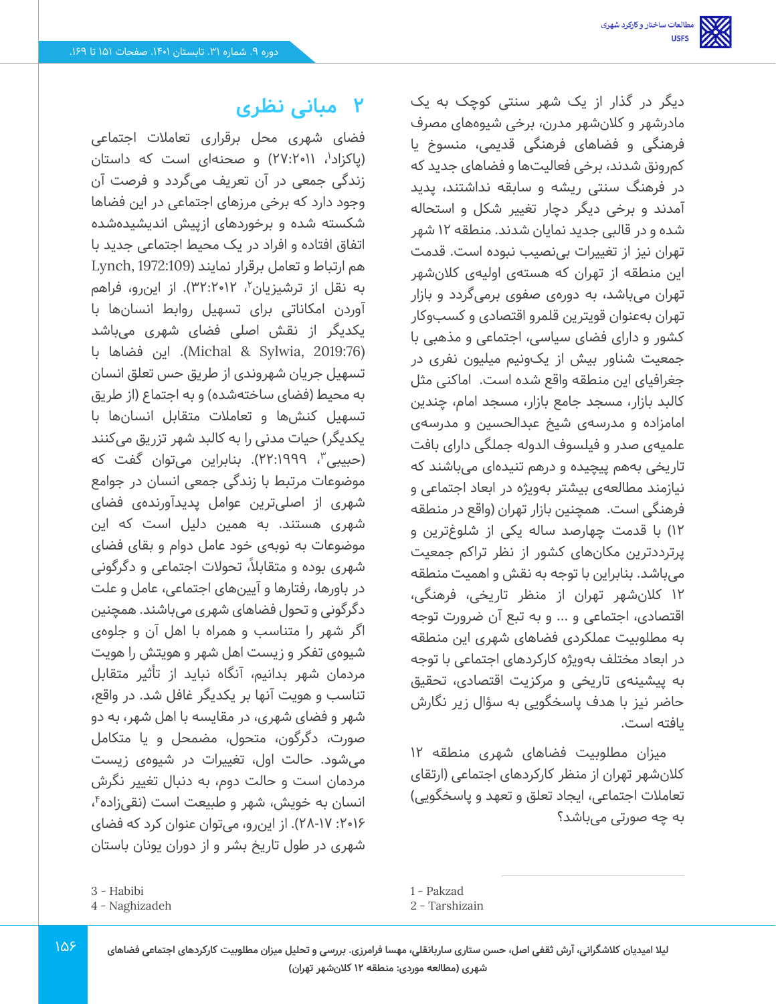فضای شهری محل برقراری تعامالت اجتماعی (پاکزاد<sup>י</sup>، ۲۷:۲۰۱۱) و صحنهای است که داستان زندگی جمعی در آن تعریف می گردد و فرصت آن وجود دارد که برخی مرزهای اجتماعی در این فضاها شکسته شده و برخوردهای ازپیش اندیشیدهشده اتفاق افتاده و افراد در یک محیط اجتماعی جدید با هم ارتباط و تعامل برقرار نمایند )1972:109 ,Lynch به نقل از ترشیزیان<sup>۲</sup>، ۱۲•۳۲:۲۰۱۲). از اینرو، فراهم آوردن امکاناتی برای تسهیل روابط انسان ها با یکدیگر از نقش اصلی فضای شهری می باشد (2019:76 ,Sylwia & Michal(. این فضاها با تسهیل جریان شهروندی از طریق حس تعلق انسان به محیط (فضای ساختهشده) و به اجتماع (از طریق تسهیل کنش ها و تعامالت متقابل انسان ها با یکدیگر) حیات مدنی را به کالبد شهر تزریق میکنند (حبیبی ّ، 1999:٢٢). بنابراین میتوان گفت که موضوعات مرتبط با زندگی جمعی انسان در جوامع شهری از اصلی ترین عوامل پدیدآورنده ی فضای شهری هستند. به همین دلیل است که این موضوعات به نوبه ی خود عامل دوام و بقای فضای شهری بوده و متقابلاً، تحولات اجتماعی و دگرگونی در باورها، رفتارها و آیین های اجتماعی، عامل و علت دگرگونی و تحول فضاهای شهری میباشند. همچنین اگر شهر را متناسب و همراه با اهل آن و جلوه ی شیوهی تفکر و زیست اهل شهر و هویتش را هویت مردمان شهر بدانیم، آنگاه نباید از تأثیر متقابل تناسب و هویت آنها بر یکدیگر غافل شد. در واقع، شهر و فضای شهری، در مقایسه با اهل شهر، به دو صورت، دگرگون، متحول، مضمحل و يا متكامل میشود. حالت اول، تغییرات در شیوهی زیست مردمان است و حالت دوم، به دنبال تغییر نگرش انسان به خویش، شهر و طبیعت است (نقیزاده<sup>۴</sup>، :2016 28-17(. از این رو، می توان عنوان کرد که فضای شهری در طول تاریخ بشر و از دوران یونان باستان

**2 مبانی نظری**

دیگر در گذار از یک شهر سنتی کوچک به یک مادرشهر و کالن شهر مدرن، برخی شیوه های مصرف فرهنگی و فضاهای فرهنگی قدیمی، منسوخ یا کمرونق شدند، برخی فعالیتها و فضاهای جدید که در فرهنگ سنتی ر یشه و سابقه نداشتند، پد ید آمدند و برخ ی دیگر دچار تغییر شکل و استحاله شده و در قالب ی جد ید نما یان شدند. منطقه 12 شهر تهران نیز از تغییرات بی نصیب نبوده است. قدمت این منطقه از تهران که هستهی اولیهی کالن شهر تهران می باشد، به دور هی صفوی برمی گردد و بازار تهران به عنوان قویتری ن قلمرو اقتصادی و کسب وکار کشور و دارای فضای سیاسی، اجتماعی و مذهبی با جمعیت شناور بیش از یک ونیم میلیون نفری در جغرافیای این منطقه واقع شده است. اماکنی مثل کالبد بازار، مسجد جامع بازار، مسجد امام، چندین امامزاده و مدرسهی شیخ عبدالحسین و مدرسهی علمیهی صدر و فیلسوف الدوله جملگی دارای بافت تاریخی بههم پیچیده و درهم تنیدهای میباشند که نیازمند مطالعهی بیشتر به ویژه در ابعاد اجتماعی و فرهنگی است. همچنین بازار تهران )واقع در منطقه ۱۲) با قدمت چهارصد ساله یکی از شلوغترین و پرترددترین مکانهای کشور از نظر تراکم جمعیت میباشد. بنابراین با توجه به نقش و اهمیت منطقه 12 کالن شهر تهران از منظر تاریخی، فرهنگی، اقتصادی، اجتماعی و ... و به تبع آن ضرورت توجه به مطلوبیت عملکردی فضاهای شهری این منطقه در ابعاد مختلف به ویژه کارکردهای اجتماعی با توجه به پیشینهی تاریخی و مرکزیت اقتصادی، تحقیق حاضر نیز با هدف پاسخگویی به سؤال زیر نگارش یافته است.

میزان مطلوبیت فضاهای شهری منطقه 12 کالن شهر تهران از منظر کارکردهای اجتماعی )ارتقای تعاملات اجتماعی، ایجاد تعلق و تعهد و پاسخگویی) به چه صورتی می باشد؟

1 - Pakzad

<sup>3</sup> - Habibi

<sup>4</sup> - Naghizadeh

<sup>2</sup> - Tarshizain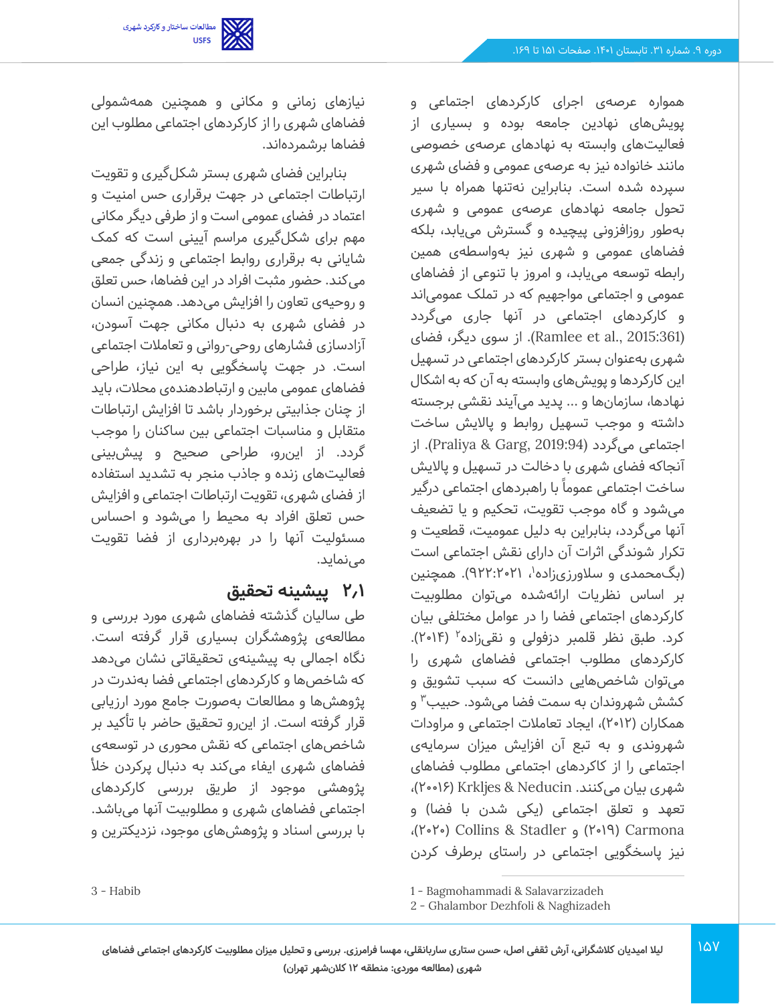مطالعات ساختار و کارکرد شهری<br>USFS

همواره عرصهی اجرای کارکردهای اجتماعی و پویش های نهادین جامعه بوده و بسیاری از فعالیتهای وابسته به نهادهای عرصهی خصوصی مانند خانواده نیز به عرصهی عمومی و فضای شهری سپرده شده است. بنابراین نهتنها همراه با سیر تحول جامعه نهادهای عرصهی عمومی و شهری بهطور روزافزونی پیچیده و گسترش می یابد، بلکه فضاهای عمومی و شهری نیز بهواسطهی همین رابطه توسعه مییابد، و امروز با تنوعی از فضاهای عمومی و اجتماعی مواجهیم که در تملک عمومی اند و کارکردهای اجتماعی در آنها جاری می گردد (2015:361 .Ramlee et al). از سوی دیگر، فضای شهری به عنوان بستر کارکردهای اجتماعی در تسهیل این کارکردها و پویش های وابسته به آن که به اشکال نهادها، سازمان ها و ... پدید میآیند نقشی برجسته داشته و موجب تسهیل روابط و پاالیش ساخت اجتماعی می گردد (2019:94 ,Garg & Praliya(. از آنجاکه فضای شهری با دخالت در تسهیل و پااليش ساخت اجتماعی عموما با راهبردهای اجتماعی درگیر میشود و گاه موجب تقویت، تحکیم و یا تضعیف آنها می گردد، بنابراین به دلیل عمومیت، قطعیت و تکرار شوندگی اثرات آن دارای نقش اجتماعی است (بگ<code>محمدی</code> و سلاورزیزاده'، ۹۲۲:۲۰۲۱). همچنین بر اساس نظریات ارائهشده می توان مطلوبیت کارکردهای اجتماعی فضا را در عوامل مختلفی بیان کرد. طبق نظر قلمبر دزفولی و نقیزاده<sup>۲</sup> (۲۰۱۴). کارکردهای مطلوب اجتماعی فضاهای شهری را میتوان شاخص هایی دانست که سبب تشويق و کشش شهروندان به سمت فضا میشود. حبيب<sup>۳</sup> و همکاران )2012(، ایجاد تعامالت اجتماعی و مراودات شهروندی و به تبع آن افزایش میزان سرمایه ی اجتماعی را از کاکردهای اجتماعی مطلوب فضاهای شهری بیان می کنند. Neducin & Krkljes ( 20016)، تعهد و تعلق اجتماعی (یکی شدن با فضا) و ،)2020 ( Collins & Stadler و( 2019 )Carmona نیز پاسخگویی اجتماعی در راستای برطرف کردن

نیازهای زمانی و مکانی و همچنین همه شمولی فضاهای شهری را از کارکردهای اجتماعی مطلوب این فضاها برشمرده اند.

بنابراین فضای شهری بستر شکلگیری و تقویت ارتباطات اجتماعی در جهت برقراری حس امنیت و اعتماد در فضای عمومی است و از طرفی دیگر مکانی مهم برای شکل گیری مراسم آیینی است که کمک شایانی به برقراری روابط اجتماعی و زندگی جمعی میکند. حضور مثبت افراد در این فضاها، حس تعلق و روحیهی تعاون را افزایش می دهد. همچنین انسان در فضای شهری به دنبال مکانی جهت آسودن، آزادسازی فشارهای روحی-روانی و تعامالت اجتماعی است. در جهت پاسخگویی به این نیاز، طراحی فضاهای عمومی مابین و ارتباطدهندهی محلات، باید از چنان جذابیتی برخوردار باشد تا افزایش ارتباطات متقابل و مناسبات اجتماعی بین ساکنان را موجب گردد. از اینرو، طراحی صحیح و پیشبینی فعالیتهای زنده و جاذب منجر به تشدید استفاده از فضای شهری، تقویت ارتباطات اجتماعی و افزایش حس تعلق افراد به محیط را می شود و احساس مسئولیت آنها را در بهره برداری از فضا تقویت مے نماید.

# **2.1 پیشینه تحقیق**

طی سالیان گذشته فضاهای شهری مورد بررسی و مطالعهی پژوهشگران بسیاری قرار گرفته است. نگاه اجمالی به پیشینهی تحقیقاتی نشان می دهد که شاخص ها و کارکردهای اجتماعی فضا به ندرت در پژوهش ها و مطالعات به صورت جامع مورد ارزیابی قرار گرفته است. از این رو تحقیق حاضر با تأکید بر شاخصهای اجتماعی که نقش محوری در توسعهی فضاهای شهری ایفاء می کند به دنبال پرکردن خأل پژوهشی موجود از طریق بررسی کارکردهای اجتماعی فضاهای شهری و مطلوبیت آنها می باشد. با بررسی اسناد و پژوهش های موجود، نزدیکترین و

3 - Habib

<sup>1</sup> - Bagmohammadi & Salavarzizadeh

<sup>2</sup> - Ghalambor Dezhfoli & Naghizadeh

<sup>167</sup>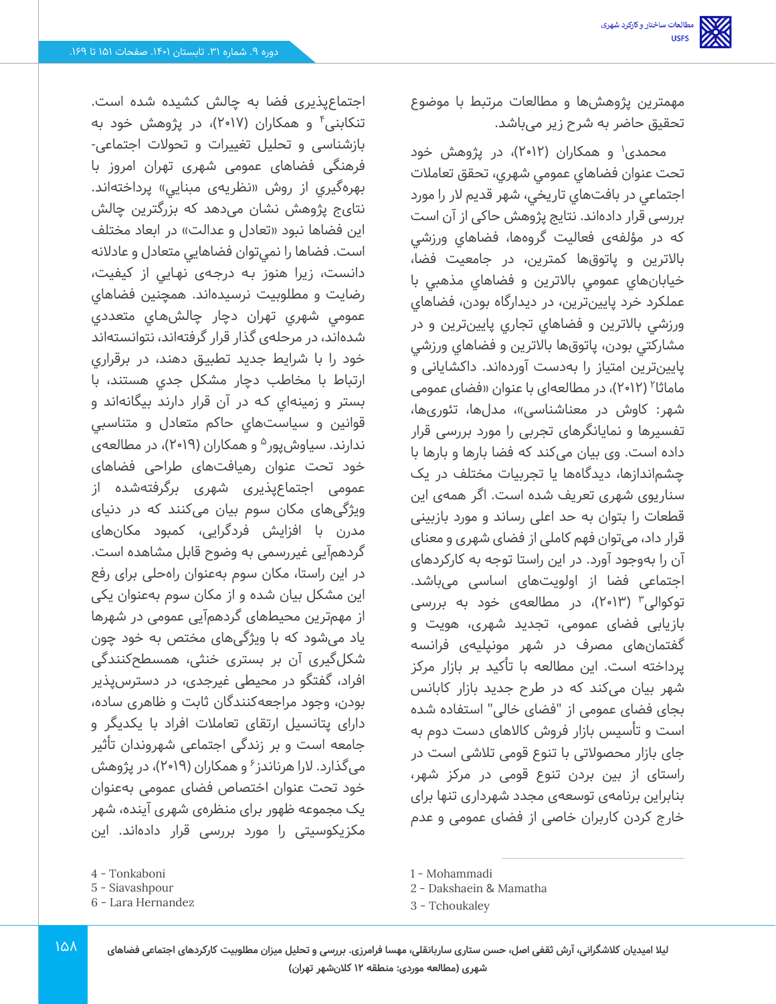اجتماعپذیری فضا به چالش کشیده شده است. تنکابنی ٔ و همکاران (۲۰۱۷)، در پژوهش خود به بازشناسی و تحلیل تغییرات و تحوالت اجتماع ی - فرهنگی فضاهای عمومی شهری تهران امروز با بهرهگيري از روش «نظريهي مبنايي» پرداختهاند. نتایج پژوهش نشان میدهد که بزرگترین چالش اين فضاها نبود «تعادل و عدالت» در ابعاد مختلف است. فضاها را نمي توان فضاهايي متعادل و عادالنه دانست، زيرا هنوز بـه درجـهی نهـايي از كيفيت، رضايت و مطلوبيت نرسيدهاند. همچنین فضاهاي عمومي شهري تهران دچار چالش هـاي متعددي شدهاند، در مرحله ی گذار قرار گرفتهاند، نتوانسته اند خود را با شرايط جديد تطبيـق دهند، در برقراري ارتباط با مخاطب دچار مشكل جدي هستند، با بستر و زمينهاي كـه در آن قرار دارند بيگانهاند و قوانين و سياست هاي حاكم متعادل و متناسبي ندارند. سیاوشپور<sup>ه</sup> و همکاران (۲۰۱۹)، در مطالعهی خود تحت عنوان رهیافتهای طراحی فضاهای عمومی اجتماعپذیری شهری برگرفتهشده از ویژگی های مکان سوم بیان می کنند که در دنیای مدرن با افزایش فردگرایی، کمبود مکانهای گردهمآیی غیررسمی به وضوح قابل مشاهده است. در این راستا، مکان سوم بهعنوان راهحلی برای رفع این مشکل بیان شده و از مکان سوم به عنوان یکی از مهم ترین محیط های گردهمآیی عمومی در شهرها یاد می شود که با و یژگی های مختص به خود چون شکلگیری آن بر بستری خنثی، همسطح کنندگی افراد، گفتگو در محیطی غیرجدی، در دسترسپذیر بودن، وجود مراجعهکنندگان ثابت و ظاهری ساده، دارای پتانسیل ارتقای تعامالت افراد با یکد یگر و جامعه است و بر زندگی اجتماعی شهروندان تأثیر میگذارد. لارا هرناندز<sup>۶</sup> و همکاران (۲۰۱۹)، در پژوهش خود تحت عنوان اختصاص فضای عموم ی به عنوان یک مجموعه ظهور برای منظرهی شهری آینده، شهر مکزیکوسیتی را مورد بررسی قرار دادهاند. این

مهمترین پژوهش ها و مطالعات مرتبط با موضوع تحقیق حاضر به شرح زیر می باشد.

محمدی' و همکاران (۲۰۱۲)، در پژوهش خود تحت عنوان فضاهاي عمومي شهري، تحقق تعامالت اجتماعي در بافت هاي تاريخي، شهر قديم الر را مورد بررسی قرار داده اند. نتايج پژوهش حاکی از آن است که در مؤلفهی فعالیت گروهها، فضاهای ورزشی باالترين و پاتوق ها کمترين، در جامعيت فضا، خيابانهاي عمومي باالترين و فضاهاي مذهبي با عملکرد خرد پايين ترين، در ديدارگاه بودن، فضاهاي ورزشي بالاترين و فضاهاي تجاري پايينترين و در مشارکتي بودن، پاتوق ها باالترين و فضاهاي ورزشي پايينترين امتياز را بهدست آوردهاند. داکشايانی و ماماثا ۲۰۱۲)، در مطالعهای با عنوان «فضای عمومی شهر: کاوش در معناشناسی»، مدلها، تئوریها، تفسیرها و نمایانگرهای تجربی را مورد بررسی قرار داده است. وی بیان می کند که فضا بارها و بارها با چشماندازها، دیدگاه ها یا تجربیات مختلف در یک سناریوی شهری تعریف شده است. اگر همهی این قطعات را بتوان به حد اعل ی رساند و مورد بازبینی قرار داد، می توان فهم کاملی از فضای شهری و معنای آن را بهوجود آورد. در این راستا توجه به کارکردهای اجتماعی فضا از اولویت های اساسی می باشد. توکوالی۳ (۲۰۱۳)، در مطالعهی خود به بررسی بازیابی فضای عمومی، تجدید شهری، هویت و گفتمانهای مصرف در شهر مونیلیهی فرانسه پرداخته است. ا ین مطالعه با تأکید بر بازار مرکز شهر بیان می کند که در طرح جدید بازار کابانس بجای فضای عمومی از "فضای خالی" استفاده شده است و تأسیس بازار فروش کالاهای دست دوم به جای بازار محصولاتی با تنوع قومی تلاشی است در راستای از بین بردن تنوع قومی در مرکز شهر، بنابراین برنامهی توسعهی مجدد شهرداری تنها برای خارج کردن کاربران خاصی از فضای عمومی و عدم

161

6 - Lara [Hernandez](https://www.researchgate.net/profile/J_Lara-Hernandez)

<sup>4</sup> - Tonkaboni

<sup>5</sup> - Siavashpour

<sup>1</sup> - Mohammadi

<sup>2</sup> - Dakshaein & Mamatha

<sup>3</sup> - Tchoukaley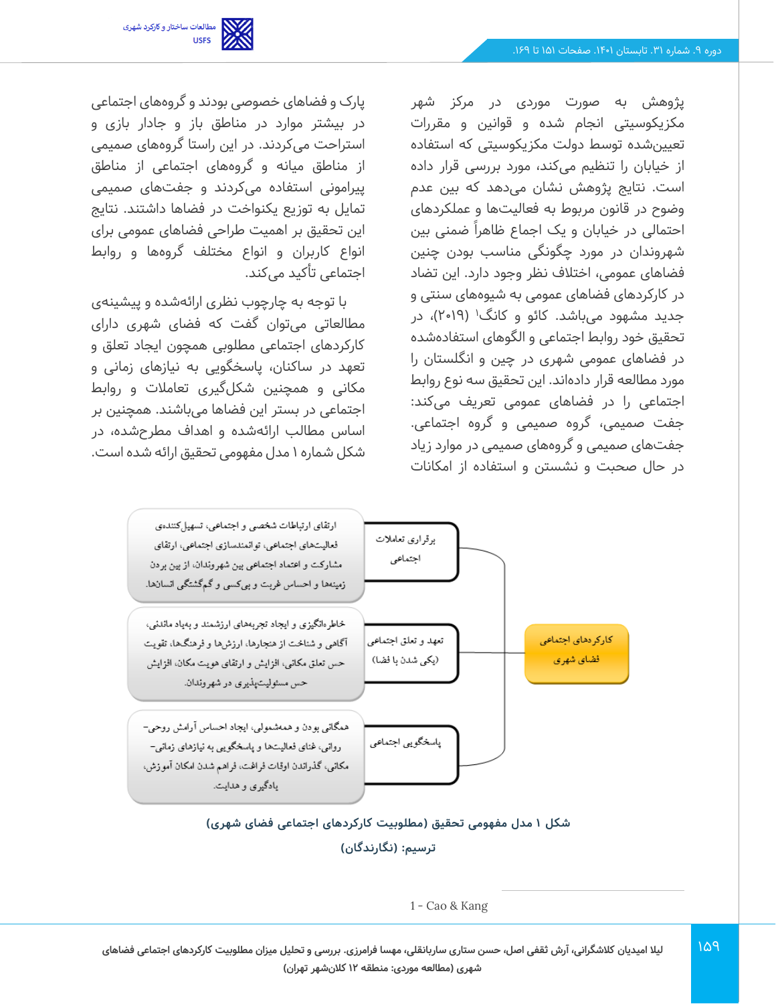مطالعات ساختار و کارکرد شهری<br>USFS

پژوهش به صورت موردی در مرکز شهر مکزیکوسیتی انجام شده و قوانین و مقررات تعیینشده توسط دولت مکزیکوسیتی که استفاده از خیابان را تنظیم می کند، مورد بررسی قرار داده است. نتایج پژوهش نشان می دهد که بین عدم وضوح در قانون مربوط به فعالیتها و عملکردهای احتمالی در خیابان و یک اجماع ظاهراً ضمنی بین شهروندان در مورد چگونگی مناسب بودن چنین فضاهای عمومی، اختلاف نظر وجود دارد. این تضاد در کارکردهای فضاهای عمومی به شیوههای سنتی و جدید مشهود میباشد. کائو و کانگ<sup>۱</sup> (۲۰۱۹)، در تحقیق خود روابط اجتماعی و الگوهای استفادهشده در فضاهای عمومی شهری در چین و انگلستان را مورد مطالعه قرار داده اند. این تحقیق سه نوع روابط اجتماعی را در فضاهای عمومی تعریف می کند: جفت صمیمی، گروه صمیمی و گروه اجتماعی. جفتهای صمیمی و گروههای صمیمی در موارد زیاد در حال صحبت و نشستن و استفاده از امکانات

پارک و فضاهای خصوصی بودند و گروه های اجتماعی در بیشتر موارد در مناطق باز و جادار بازی و استراحت می کردند. در این راستا گروههای صمیمی از مناطق میانه و گر وههای اجتماعی از مناطق پیرامونی استفاده میکردند و جفتهای صمیمی تمایل به توزیع یکنواخت در فضاها داشتند. نتایج این تحقیق بر اهمیت طراحی فضاهای عمومی برای انواع کاربران و انواع مختلف گروهها و روابط اجتماعی تأکید می کند.

با توجه به چارچوب نظری ارائهشده و پیشینهی مطالعاتی می توان گفت که فضای شهری دارای کارکردهای اجتماعی مطلوبی همچون ایجاد تعلق و تعهد در ساکنان، پاسخگویی به نیازهای زمانی و مکانی و همچنین شکل گیری تعامالت و روابط اجتماعی در بستر این فضاها می باشند. همچنین بر اساس مطالب ارائه شده و اهداف مطرح شده، در شکل شماره 1 مدل مفهومی تحقیق ارائه شده است.



### **شکل 1 مدل مفهومی تحقیق )مطلوبیت کارکردهای اجتماعی فضای شهری( ترسیم: )نگارندگان(**

<sup>1</sup> - Cao & Kang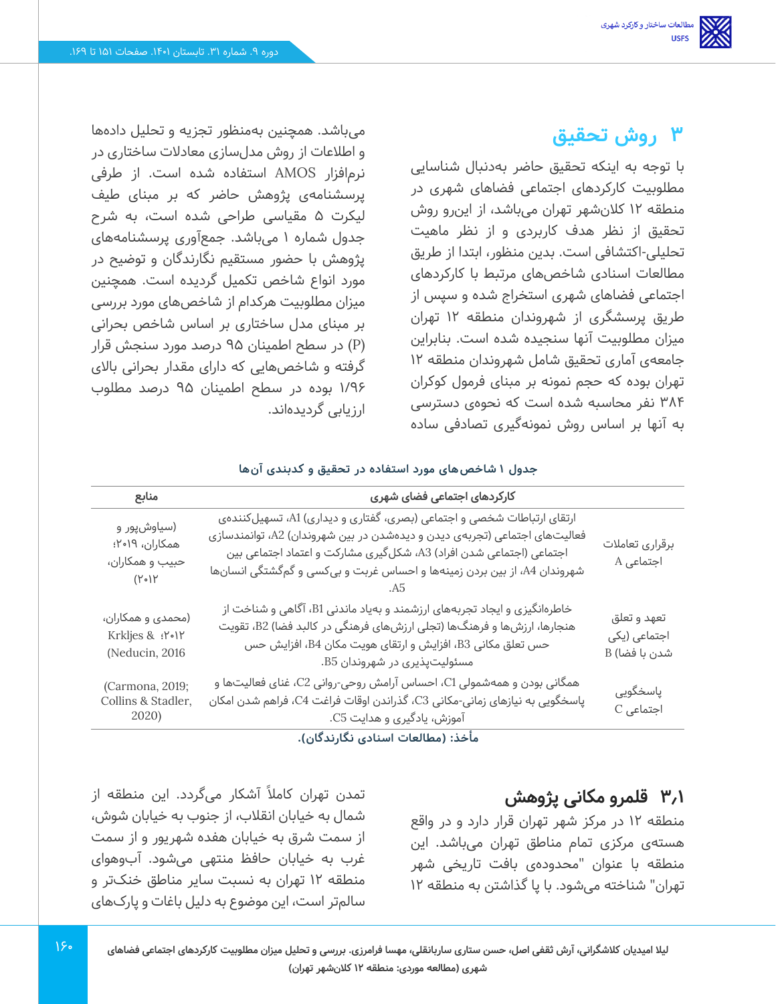# **3 روش تحقیق**

با توجه به اینکه تحقیق حاضر به دنبال شناسایی مطلوبیت کارکردهای اجتماعی فضاهای شهری در منطقه 12 کالن شهر تهران می باشد، از این رو روش تحقیق از نظر هدف کاربردی و از نظر ماهیت تحلیلی -اکتشافی است. بدین منظور، ابتدا از طریق مطالعات اسنادی شاخص های مرتبط با کارکردهای اجتماعی فضاهای شهری استخراج شده و سپس از طریق پرسشگری از شهروندان منطقه 12 تهران میزان مطلوبیت آنها سنجیده شده است. بنابراین جامعهی آماری تحقیق شامل شهروندان منطقه 12 تهران بوده که حجم نمونه بر مبنای فرمول کوکران ۳۸۴ نفر محاسبه شده است که نحوهی دسترسی به آنها بر اساس روش نمونهگیری تصادفی ساده

میباشد. همچنین به منظور تجزیه و تحلیل داده ها و اطالعات از روش مدل سازی معادالت ساختاری در نرم افزار AMOS استفاده شده است. از طرفی پرسشنامهی پژوهش حاضر که بر مبنای طیف لیکرت 5 مقیاسی طراحی شده است، به شرح جدول شماره 1 می باشد. جمع آوری پرسشنامههای پژوهش با حضور مستقیم نگارندگان و توضیح در مورد انواع شاخص تکمیل گردیده است. همچنین میزان مطلوبیت هرکدام از شاخصهای مورد بررسی بر مبنای مدل ساختاری بر اساس شاخص بحرانی (P (در سطح اطمینان 95 درصد مورد سنجش قرار گرفته و شاخص هایی که دارای مقدار بحرانی باالی 1/96 بوده در سطح اطمینان 95 درصد مطلوب ارزیابی گردیده اند.

| جدول ۱ شاخص های مورد استفاده در تحقیق و کدبندی آنها |  |
|-----------------------------------------------------|--|
|-----------------------------------------------------|--|

| منابع                                                             | کارکردهای اجتماعی فضای شهری                                                                                                                                                                                                                                                                           |                                              |
|-------------------------------------------------------------------|-------------------------------------------------------------------------------------------------------------------------------------------------------------------------------------------------------------------------------------------------------------------------------------------------------|----------------------------------------------|
| (سیاوشپور و<br>همکاران، ۱۹•۲؛<br>حبيب و همكاران،<br>$(Y \circ Y)$ | ارتقای ارتباطات شخصی و اجتماعی (بصری، گفتاری و دیداری) A1، تسهیلکنندهی<br>فعالیتهای اجتماعی (تجربهی دیدن و دیدهشدن در بین شهروندان) A2، توانمندسازی<br>اجتماعی (اجتماعی شدن افراد) A3، شکلگیری مشارکت و اعتماد اجتماعی بین<br>شهروندان A4، از بین بردن زمینهها و احساس غربت و بیکسی و گمگشتگی انسانها | برقرارى تعاملات<br>اجتماعی A                 |
| (محمدی و همکاران،<br>Krkljes & : Y.IY<br>(Neducin, 2016           | خاطرهانگیزی و ایجاد تجربههای ارزشمند و بهیاد ماندنی B1، آگاهی و شناخت از<br>هنجارها، ارزشها و فرهنگها (تجلی ارزشهای فرهنگی در کالبد فضا) B2، تقویت<br>حس تعلق مکانی B3، افزایش و ارتقای هویت مکان B4، افزایش حس<br>مسئولیتپذیری در شهروندان B5.                                                       | تعهد و تعلق<br>اجتماعی (یکی<br>شدن با فضا) B |
| (Carmona, 2019;<br>Collins & Stadler,<br>2020)                    | همگانی بودن و همهشمولی C1، احساس آرامش روحی-روانی C2، غنای فعالیتها و<br>پاسخگویی به نیازهای زمانی-مکانی C3، گذراندن اوقات فراغت C4، فراهم شدن امکان<br>آموزش، یادگیری و هدایت C5.                                                                                                                    | پاسخگویی<br>$C$ اجتماعی                      |

**مأخذ: )مطالعات اسنادی نگارندگان(.** 

# **3.1 قلمرو مکانی پژوهش**

منطقه 12 در مرکز شهر تهران قرار دارد و در واقع هستهی مرکزی تمام مناطق تهران م ی باشد. این منطقه با عنوان "محدودهی بافت تاریخی شهر تهران" شناخته می شود. با پا گذاشتن به منطقه 12

تمدن تهران کاملاً آشکار میگردد. این منطقه از شمال به خیابان انقالب، از جنوب به خیابان شوش، از سمت شرق به خیابان هفده شهریور و از سمت غرب به خیابان حافظ منتهی میشود. آبوهوای منطقه 12 تهران به نسبت سایر مناطق خنک تر و سالمتر است، این موضوع به دلیل باغات و پارک های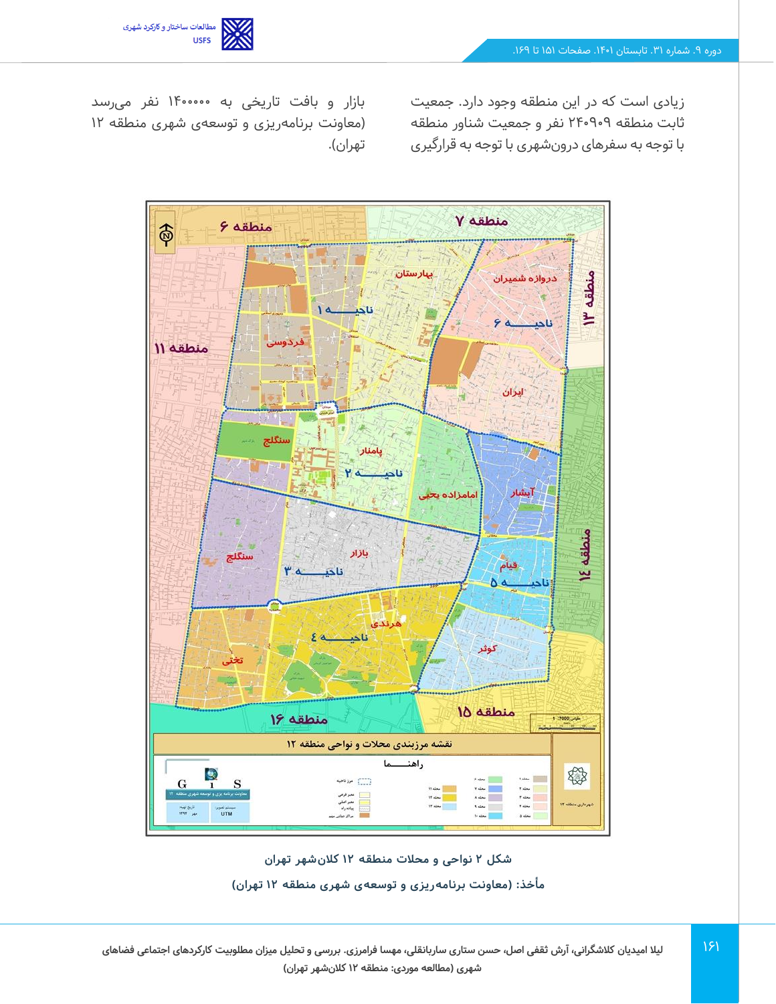

ثابت منطقه 240909 نفر و جمعیت شناور منطقه با توجه به سفرهای درون شهری با توجه به قرارگیری

زیادی است که در این منطقه وجود دارد. جمعیت بازار و بافت تاریخی به فر میرسد )معاونت برنامهریزی و توسعهی شهری منطقه 12 تهران).





 $151$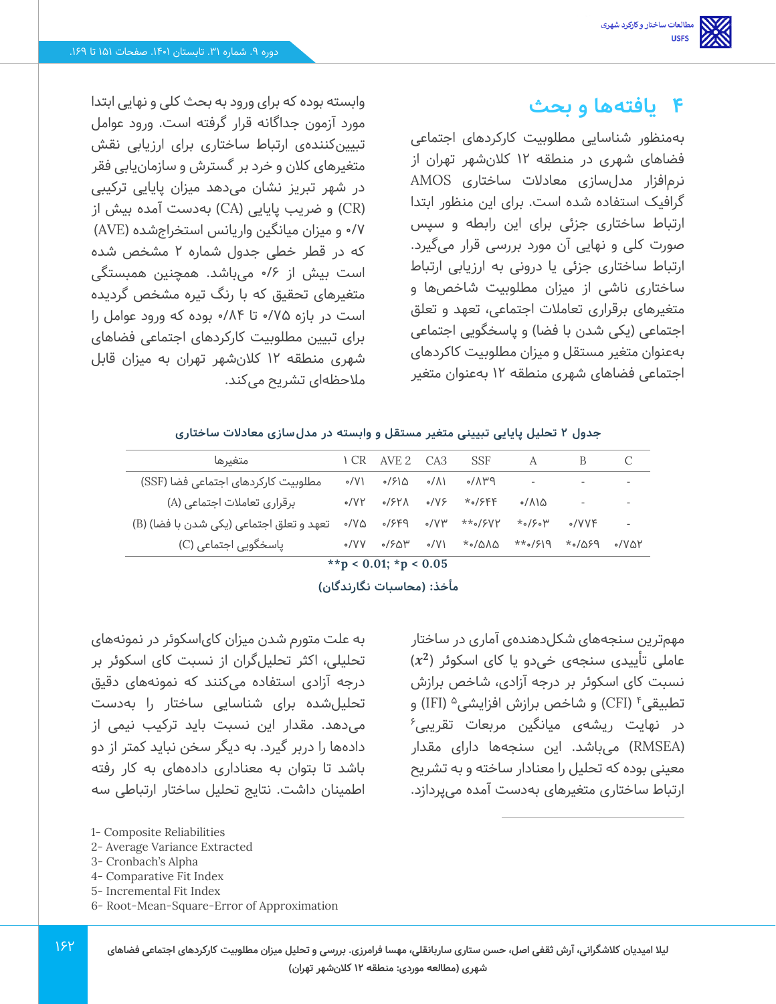## **4 یافتهها و بحث**

بهمنظور شناسایی مطلوبیت کارکردهای اجتماعی فضاهای شهری در منطقه 12 کالن شهر تهران از نرم افزار مدل سازی معادالت ساختاری AMOS گرافیک استفاده شده است. برای این منظور ابتدا ارتباط ساختاری جزئی برای این رابطه و سپس صورت کلی و نهایی آن مورد بررسی قرار می گیرد. ارتباط ساختاری جزئی یا درونی به ارزیابی ارتباط ساختاری ناشی از میزان مطلوبیت شاخص ها و متغیرهای برقرار ی تعامالت اجتماعی، تعهد و تعلق اجتماعی (یکی شدن با فضا) و پاسخگویی اجتماعی بهعنوان متغیر مستقل و میزان مطلوبیت کاکردهای اجتماعی فضاهای شهری منطقه 12 به عنوان متغیر

مهمترین سنجههای شکلدهندهی آماری در ساختار عاملی تأییدی سنجهی خی دو یا کای اسکوئر ) ) نسبت کای اسکوئر بر درجه آزادی، شاخص برازش تطبیقی۴ (CFI) و شاخص برازش افزایشی<sup>ه</sup> (IFI) و  $^{\circ}$ در نهایت ریشهی میانگین مربعات تقریبی )RMSEA )می باشد. این سنجهها دارای مقدار معینی بوده که تحلیل را معنادار ساخته و به تشریح ارتباط ساختاری متغیرهای بهدست آمده می پردازد.

وابسته بوده که برای ورود به بحث کلی و نهایی ابتدا مورد آزمون جداگانه قرار گرفته است. ورود عوامل تبیینکنندهی ارتباط ساختاری برای ارزیابی نقش متغیرهای کالن و خرد بر گسترش و سازمان یابی فقر در شهر تبریز نشان می دهد میزان پایایی ترکیبی )CR )و ضریب پایایی )CA )بهدست آمده بیش از 0/7 و میزان میانگین واریانس استخراج شده )AVE) که در قطر خطی جدول شماره 2 مشخص شده است بیش از 0/6 می باشد. همچنین همبستگی متغیرهای تحقیق که با رنگ تیره مشخص گردیده است در بازه 0/75 تا 0/84 بوده که ورود عوامل را برای تبیین مطلوبیت کارکردهای اجتماعی فضاهای شهری منطقه 12 کالن شهر تهران به میزان قابل مالحظهای تشریح می کند.

#### **جدول 2 تحلیل پایایی تبیینی متغیر مستقل و وابسته در مدل سازی معادالت ساختاری**

| متغيرها                                  | I CR        | AVE 2 CA3                            |             | <b>SSF</b>         | A                        |                        |                          |
|------------------------------------------|-------------|--------------------------------------|-------------|--------------------|--------------------------|------------------------|--------------------------|
| مطلوبیت کارکردهای اجتماعی فضا (SSF)      | $\circ$ /V) | 7۶۱۵ ه                               |             | $P$ ۳۸/۰ ۱۸/۰      | $\overline{\phantom{a}}$ |                        | $\overline{\phantom{a}}$ |
| برقراری تعاملات اجتماعی (A)              |             | $\circ$ /VY $\circ$ /۶۲۸ $\circ$ /V۶ |             | *0/۶۴۴             | ه۱۸/ه                    |                        | $\overline{\phantom{a}}$ |
| تعهد و تعلق اجتماعی (یکی شدن با فضا) (B) | ہ⁄∨ ہ       |                                      |             | ۰/۶۴۹ ۰/۷۳ **۰/۶۷۲ | $*_\circ$ /۶ $_\circ$ ۳  | $\delta$ /VVF          | $\overline{\phantom{a}}$ |
| یاسخگویی اجتماعی (C)                     | $\circ$ /VV | •/ዖልሥ                                | $\circ$ /V) | ∕ 1∆∆ھ             |                          | $P30\sigma* P19\star*$ | 0/101                    |

**\*\*p < 0.01; \*p < 0.05**

**مأخذ: )محاسبات نگارندگان(** 

به علت متورم شدن میزان کایاسکوئر در نمونه های تحلیلی، اکثر تحلیلگران از نسبت کای اسکوئر بر درجه آزادی استفاده می کنند که نمونه های دقیق تحلیلشده برای شناسایی ساختار را بهدست میدهد. مقدار این نسبت باید ترکیب نیمی از داده ها را دربر گیرد. به دیگر سخن نباید کمتر از دو باشد تا بتوان به معناداری داده های به کار رفته اطمینان داشت. نتایج تحلیل ساختار ارتباطی سه

- 2- Average Variance Extracted
- 3- Cronbach's Alpha
- 4- Comparative Fit Index
- 5- Incremental Fit Index
- 6- Root-Mean-Square-Error of Approximation

**لیال امیدیان کالشگرانی، آرش ثقفی اصل، حسن ستاری ساربانقلی، مهسا فرامرزی. بررسی و تحلیل میزان مطلوبیت کارکردهای اجتماعی فضاهای شهری )مطالعه موردی: منطقه 12 کالن شهر تهران(** 

<sup>1-</sup> Composite Reliabilities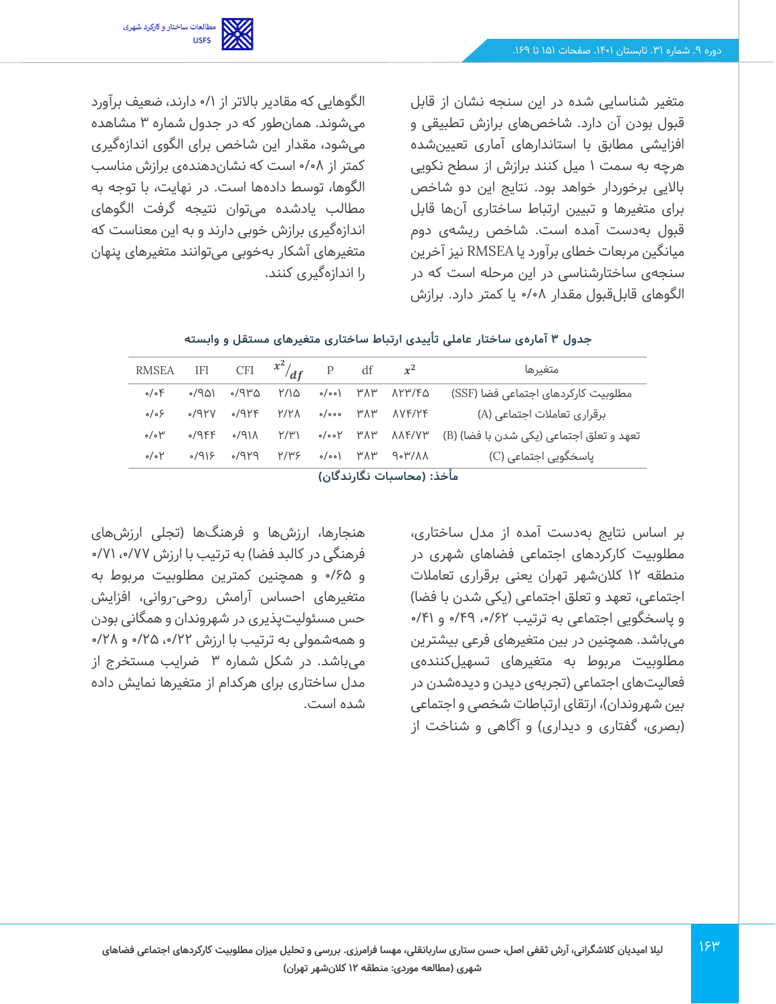

متغیر شناسایی شده در این سنجه نشان از قابل قبول بودن آن دارد. شاخص های برازش تطبیقی و افزایشی مطابق با استاندارهای آماری تعیینشده هرچه به سمت 1 میل کنند برازش از سطح نکویی باالیی برخوردار خواهد بود. نتایج این دو شاخص برای متغیرها و تبیین ارتباط ساختاری آنها قابل قبول به دست آمده است. شاخص ر یشه ی دوم میانگین مربعات خطای برآورد یا RMSEA نیز آخرین سنجهی ساختارشناسی در این مرحله است که در الگوهای قابل قبول مقدار 0/08 یا کمتر دارد. برازش

الگوهایی که مقادیر بالاتر از ۰/۱ دارند، ضعیف برآورد میشوند. همان طور که در جدول شماره 3 مشاهده میشود، مقدار این شاخص برای الگوی اندازه گیری کمتر از 0/08 است که نشان دهندهی برازش مناسب الگوها، توسط دادهها است. در نهایت، با توجه به مطالب یادشده می توان نتیجه گرفت الگوهای اندازهگیری برازش خوبی دارند و به این معناست که متغیرهای آشکار به خوب ی می توانند متغیرهای پنهان را اندازهگیری کنند.

| جدول ۳ آمارهی ساختار عاملی تأییدی ارتباط ساختاری متغیرهای مستقل و وابسته |  |  |  |  |  |  |  |  |
|--------------------------------------------------------------------------|--|--|--|--|--|--|--|--|
|--------------------------------------------------------------------------|--|--|--|--|--|--|--|--|

| RMSEA IFI CFI $x^2/df$ P df $x^2$      |          |                                                 |      |          |  |                                                        | متغيرها                                  |  |
|----------------------------------------|----------|-------------------------------------------------|------|----------|--|--------------------------------------------------------|------------------------------------------|--|
| $\circ/\circ$ F                        | ٬۵۳۱ م   | ٬/۹۳۵                                           | ۲/۱۵ | ۳۸۳ (۵۰۵ |  | ለ۲۳/۴۵                                                 | مطلوبیت کارکردهای اجتماعی فضا (SSF)      |  |
| $\circ/\circ$ ۶                        | 74۲۷ -   | $\circ$ /9۲۴                                    | Y/Y  |          |  | o/ooo ۳۸۳ ۸۷۴/۲۴                                       | برقراری تعاملات اجتماعی (A)              |  |
| $\circ/\circ$ $\uparrow\!\!\checkmark$ | $0/9$ ۴۴ | $\Lambda$ /۹۱۸                                  | Y/Y' |          |  | $\circ/\circ\circ$ ነ ሥ $\wedge$ ነ" $\wedge\wedge$ ۴/۷۳ | تعهد و تعلق اجتماعی (یکی شدن با فضا) (B) |  |
| $\circ/\circ$ $\uparrow$               |          | $PP\backslash o$ $\prec$ $\wr$ $PP\backslash o$ | Y/Y  |          |  | ۸۸/۳۰۹ ۱۳۸۳ (۰۰۰م)                                     | یاسخگویی اجتماعی (C)                     |  |
| مأخذ: (محاسبات نگارندگان)              |          |                                                 |      |          |  |                                                        |                                          |  |

بر اساس نتایج به دست آمده از مدل ساختاری، مطلوبیت کارکردهای اجتماعی فضاهای شهری در منطقه 12 کالن شهر تهران یعنی برقراری تعامالت اجتماعی، تعهد و تعلق اجتماعی (یکی شدن با فضا) و پاسخگویی اجتماعی به ترتیب ۶۲/۰، ۴۹/۰ و ۴۱/۰ میباشد. همچنین در بین متغیرهای فرعی بیشترین مطلوبیت مربوط به متغیرهای تسهیلکنندهی فعالیتهای اجتماعی (تجربهی دیدن و دیدهشدن در بین شهروندان)، ارتقای ارتباطات شخصی و اجتماعی (بصری، گفتاری و دیداری) و آگاهی و شناخت از

هنجارها، ارزشها و فرهنگها (تجلی ارزشهای فرهنگی در کالبد فضا) به ترتیب با ارزش ۷۷/۰٫۱۷۷ ن و 0/65 و همچنین کمترین مطلوبیت مربوط به متغیرهای احساس آرامش روحی-روانی، افزایش حس مسئولیت پذیری در شهروندان و همگانی بودن و همهشمولی به ترتیب با ارزش ۲۲/۰، ۲۵/۰ و ۲۸/۰ میباشد. در شکل شماره 3 ضرایب مستخرج از مدل ساختاری برای هرکدام از متغیرها نمایش داده شده است.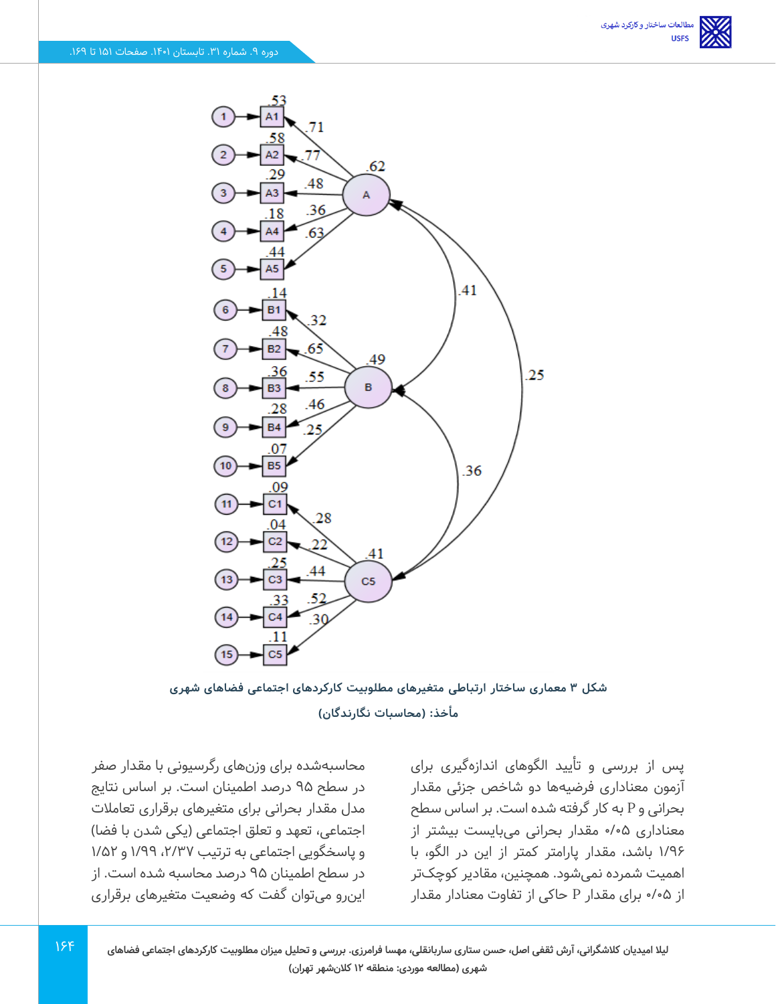

**شکل 3 معمار ی ساختار ارتباط ی متغیرهای مطلوبیت کارکردهای اجتماعی فضاها ی شهری مأخذ: )محاسبات نگارندگان(** 

پس از بررسی و تأیید الگوهای اندازهگیری برای آزمون معناداری فرضیه ها دو شاخص جزئی مقدار بحرانی و P به کار گرفته شده است. بر اساس سطح معناداری 0/05 مقدار بحرانی میبایست بیشتر از 1/96 باشد، مقدار پارامتر کمتر از این در الگو، با اهمیت شمرده نمی شود. همچنین، مقادیر کوچک تر از 0/05 برای مقدار P حاکی از تفاوت معنادار مقدار

محاسبهشده برای وزن های رگرسیونی با مقدار صفر در سطح 95 درصد اطمینان است. بر اساس نتایج مدل مقدار بحرانی برای متغیرهای برقراری تعامالت اجتماعی، تعهد و تعلق اجتماعی (یکی شدن با فضا) و پاسخگویی اجتماعی به ترتیب ۲/۳۷، ۱/۵۹ و ۱٬۵۲ در سطح اطمینان 95 درصد محاسبه شده است. از این رو میتوان گفت که وضعیت متغیرهای برقراری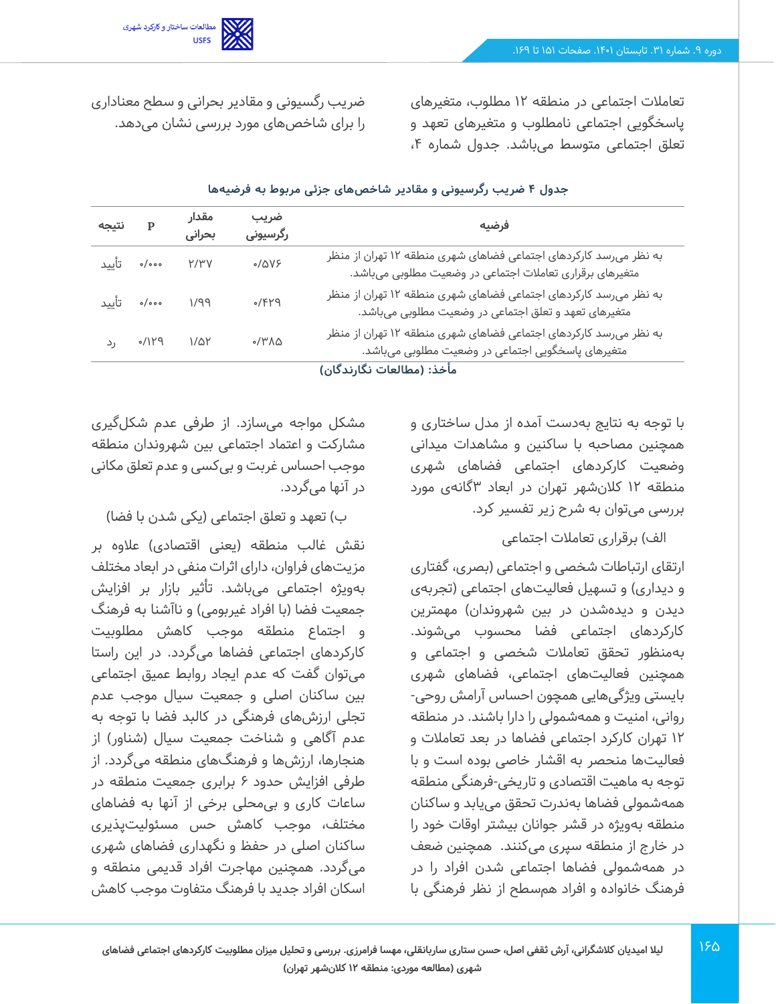

تعامالت اجتماعی در منطقه 12 مطلوب، متغیرهای پاسخگویی اجتماعی نامطلوب و متغیرهای تعهد و تعلق اجتماعی متوسط می باشد. جدول شماره ،4

ضریب رگسیونی و مقادیر بحرانی و سطح معناداری را برای شاخص های مورد بررسی نشان می دهد.

| نتيجه | $\mathbf{P}$     | مقدار<br>بحرانى | ضريب<br>رگرسیونی | فرضيه                                                                                                                         |
|-------|------------------|-----------------|------------------|-------------------------------------------------------------------------------------------------------------------------------|
|       | ەەە/ە تأييد      | Y/Y'V           | 0/0V             | به نظر میرسد کارکردهای اجتماعی فضاهای شهری منطقه ۱۲ تهران از منظر<br>متغیرهای برقراری تعاملات اجتماعی در وضعیت مطلوبی میباشد. |
|       | ۱/۹۹ ۰٬۰۰۰ تأیید |                 | 9/579            | به نظر میرسد کارکردهای اجتماعی فضاهای شهری منطقه ۱۲ تهران از منظر<br>متغیرهای تعهد و تعلق اجتماعی در وضعیت مطلوبی میباشد.     |
|       | ۶/۱۲۹ رد         | $1/\Delta Y$    | 0/4              | به نظر میرسد کارکردهای اجتماعی فضاهای شهری منطقه ۱۲ تهران از منظر<br>متغیرهای پاسخگویی اجتماعی در وضعیت مطلوبی میباشد.        |
|       |                  |                 |                  | مأخذ: (مطالعات نگارندگان)                                                                                                     |

#### **جدول 4 ضریب رگرسیونی و مقادیر شاخص های جزئی مربوط به فرضیه ها**

با توجه به نتایج به دست آمده از مدل ساختاری و همچنین مصاحبه با ساکنین و مشاهدات میدانی وضعیت کارکردهای اجتماعی فضاهای شهری منطقه 12 کالن شهر تهران در ابعاد 3گانه ی مورد بررسی می توان به شرح زیر تفسیر کرد.

#### الف) برقراری تعاملات اجتماعی

ارتقای ارتباطات شخص ی و اجتماعی )بصری، گفتاری و دیداری) و تسهیل فعالیتهای اجتماعی (تجربهی دیدن و دیدهشدن در بین شهروندان) مهمترین کارکردهای اجتماعی فضا محسوب می شوند. بهمنظور تحقق تعامالت شخصی و اجتماعی و همچنین فعالیت های اجتماعی، فضاهای شهری بایستی ویژگی هایی همچون احساس آرامش روحی- روانی، امنیت و همه شمولی را دارا باشند. در منطقه 12 تهران کارکرد اجتماعی فضاها در بعد تعامالت و فعالیتها منحصر به اقشار خاصی بوده است و با توجه به ماهیت اقتصادی و تاریخی -فرهنگی منطقه همهشمولی فضاها به ندرت تحقق می یابد و ساکنان منطقه بهویژه در قشر جوانان بیشتر اوقات خود را در خارج از منطقه سپری می کنند. همچنین ضعف در همهشمولی فضاها اجتماعی شدن افراد را در فرهنگ خانواده و افراد هم سطح از نظر فرهنگی با

مشکل مواجه می سازد. از طرفی عدم شکل گیری مشارکت و اعتماد اجتماعی بین شهروندان منطقه موجب احساس غربت و بی کسی و عدم تعلق مکانی در آنها می گردد.

#### ب) تعهد و تعلق اجتماعی (یکی شدن با فضا)

نقش غالب منطقه (یعنی اقتصادی) علاوه بر مزیت های فراوان، دارای اثرات منفی در ابعاد مختلف بهویژه اجتماعی می باشد. تأثیر بازار بر افزایش جمعیت فضا (با افراد غیربومی) و ناآشنا به فرهنگ و اجتماع منطقه موجب کاهش مطلوبیت کارکردهای اجتماعی فضاها میگردد. در این ر استا میتوان گفت که عدم ایجاد روابط عمیق اجتماعی بین ساکنان اصلی و جمعیت سیال موجب عدم تجلی ارزشهای فرهنگی در کالبد فضا با توجه به عدم آگاهی و شناخت جمعیت سیال (شناور) از هنجارها، ارزش ها و فرهنگ های منطقه می گردد. از طرفی افزایش حدود 6 برابری جمعیت منطقه در ساعات کاری و بی محلی برخی از آنها به فضاهای مختلف، موجب کاهش حس مسئولیت پذیری ساکنان اصلی در حفظ و نگهداری فضاهای شهری میگردد. همچنین مهاجرت افراد قدیمی منطقه و اسکان افراد جدید با فرهنگ متفاوت موجب کاهش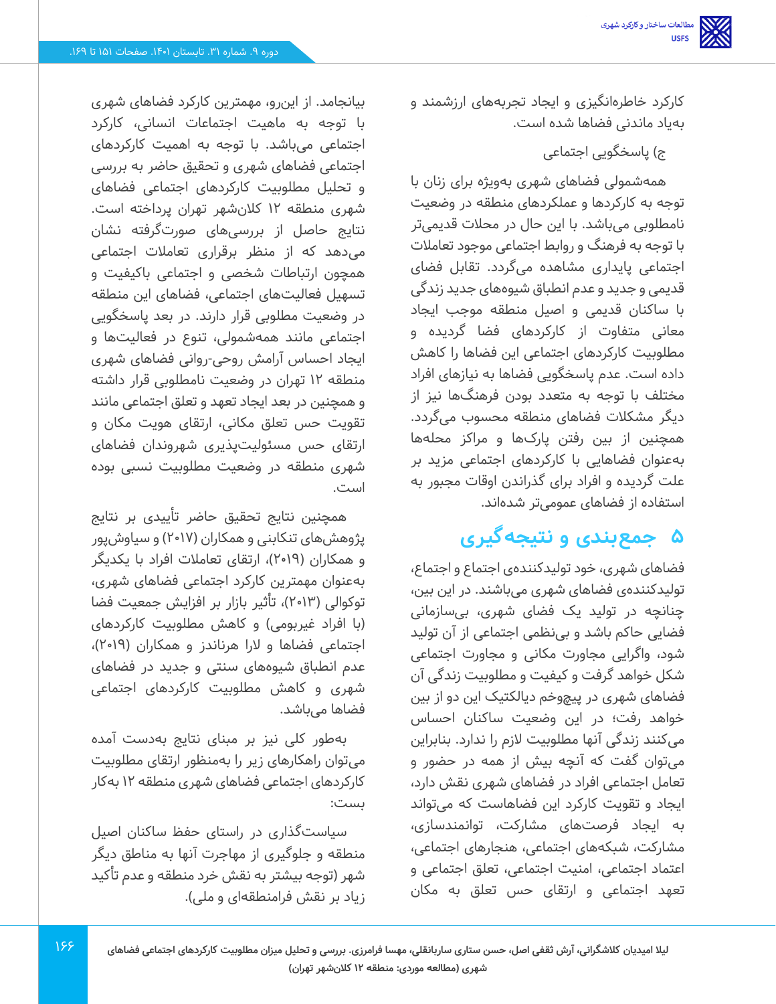کارکرد خاطره انگیزی و ایجاد تجربههای ارزشمند و بهیاد ماندنی فضاها شده است.

ج) پاسخگویی اجتماعی

همهشمولی فضاهای شهری بهویژه برای زنان با توجه به کارکردها و عملکردهای منطقه در وضعیت نامطلوبی می باشد. با این حال در محالت قدیمی تر با توجه به فرهنگ و روابط اجتماعی موجود تعامالت اجتماعی پایداری مشاهده میگردد. تقابل فضای قدیمی و جدید و عدم انطباق شیوههای جدید زندگی با ساکنان قدیمی و اصیل منطقه موجب ایجاد معانی متفاوت از کارکردهای فضا گردیده و مطلوبیت کارکردهای اجتماعی این فضاها را کاهش داده است. عدم پاسخگویی فضاها به نیازهای افراد مختلف با توجه به متعدد بودن فرهنگ ها نیز از دیگر مشکالت فضاهای منطقه محسوب می گردد. همچنین از بین رفتن پارکها و مراکز محله ها بهعنوان فضاهایی با کارکردهای اجتماعی مزید بر علت گردیده و افراد برای گذراندن اوقات مجبور به استفاده از فضاهای عمومی تر شدهاند.

# **5 جمعبندی و نتیجهگیری**

فضاهای شهری، خود تولیدکنندهی اجتماع و اجتماع، تولیدکنندهی فضاهای شهری می باشند. در این بین، چنانچه در تولید یک فضای شهری، بی سازمانی فضایی حاکم باشد و بی نظمی اجتماعی از آن تولید شود، واگرایی مجاورت مکانی و مجاورت اجتماعی شکل خواهد گرفت و کیفیت و مطلوبیت زندگی آن فضاهای شهری در پیچ وخم د یالکتیک ا ین دو از بین خواهد رفت؛ در این وضعیت ساکنان احساس میکنند زندگی آنها مطلوبیت لازم را ندارد. بنابراین میتوان گفت که آنچه بیش از همه در حضور و تعامل اجتماعی افراد در فضاهای شهری نقش دارد، ایجاد و تقویت کارکرد این فضاهاست که میتواند به ای جاد فرصت های مشارکت، توانمندسازی، مشارکت، شبکههای اجتماعی، هنجارهای اجتماعی، اعتماد اجتماعی، امنیت اجتماعی، تعلق اجتماعی و تعهد اجتماعی و ارتقای حس تعلق به مکان

بیانجامد. از این رو، مهمترین کارکرد فضاهای شهری با توجه به ماهیت اجتماعات انسانی، کارکرد اجتماعی می باشد. با توجه به اهمیت کارکردهای اجتماعی فضاهای شهری و تحقیق حاضر به بررسی و تحلیل مطلوبیت کارکردهای اجتماعی فضاهای شهری منطقه 12 کالن شهر تهران پرداخته است. نتایج حاصل از بررسیهای صورتگرفته نشان میدهد که از منظر برقراری تعامالت اجتماعی همچون ارتباطات شخصی و اجتماعی باکیفیت و تسهیل فعالیت های اجتماعی، فضاهای این منطقه در وضعیت مطلوبی قرار دارند. در بعد پاسخگویی اجتماعی مانند همه شمولی، تنوع در فعالیتها و ایجاد احساس آرامش ر وحی -روانی فضاهای شهری منطقه 12 تهران در وضعیت نامطلوبی قرار داشته و همچنین در بعد ایجاد تعهد و تعلق اجتماعی مانند تقویت حس تعلق مکانی، ارتقای هویت مکان و ارتقای حس مسئولیت پذیری شهروندان فضاهای شهری منطقه در وضعیت مطلوبیت نسبی بوده است.

همچنین نتایج تحقیق حاضر تأییدی بر نتایج پژوهشهای تنکابنی و همکاران (۲۰۱۷) و سیاوش پور و همکاران )2019(، ارتقای تعامالت افراد با یکد یگر بهعنوان مهمترین کارکرد اجتماعی فضاهای شهری، توکوالی (۲۰۱۳)، تأثیر بازار بر افزایش جمعیت فضا (با افراد غیربومی) و کاهش مطلوبیت کارکردهای اجتماعی فضاها و لارا هرناندز و همکاران (۲۰۱۹)، عدم انطباق شیوه های سنتی و جدید در فضاهای شهری و کاهش مطلوبیت کارکردهای اجتماعی فضاها می باشد.

بهطور کلی نیز بر مبنای نتایج به دست آمده میتوان راهکارهای زیر را به منظور ارتقای مطلوبیت کارکردهای اجتماعی فضاهای شهری منطقه 12 به کار بست:

سیاستگذاری در راستای حفظ ساکنان اصیل منطقه و جلوگیری از مهاجرت آنها به مناطق دیگر شهر )توجه بیشتر به نقش خرد منطقه و عدم تأکید زیاد بر نقش فرامنطقهای و ملی).

188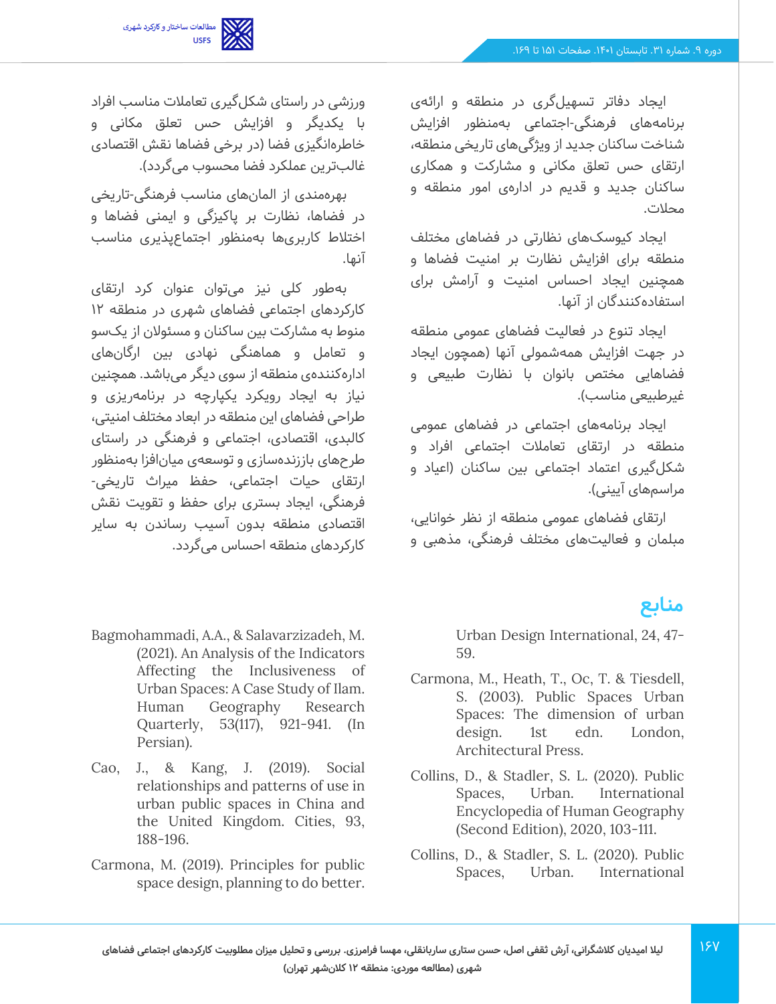

ایجاد دفاتر تسهیل گری در منطقه و ارائهی برنامههای فرهنگی-اجتماعی بهمنظور افزایش شناخت ساکنان جدید از ویژگیهای تاریخی منطقه، ارتقای حس تعلق مکانی و مشارکت و همکاری ساکنان جدید و قدیم در ادارهی امور منطقه و محالت.

ایجاد کیوسک های نظارتی در فضاهای مختلف منطقه برای افزایش نظارت بر امنیت فضاها و همچنین ایجاد احساس امنیت و آرامش برای استفادهکنندگان از آنها.

ایجاد تنوع در فعالیت فضاهای عمومی منطقه در جهت افزایش همهشمولی آنها (همچون ایجاد فضاهایی مختص بانوان با نظارت طبیعی و غیرطبیعی مناسب(.

ایجاد برنامههای اجتماعی در فضاهای عمومی منطقه در ارتقای تعامالت اجتماعی افراد و شکلگیری اعتماد اجتماعی بین ساکنان )اعیاد و مراسمهای آیینی(.

ارتقای فضاهای عمومی منطقه از نظر خوانایی، مبلمان و فعالیت های مختلف فرهنگی، مذهبی و

# **منابع**

Urban Design International, 24, 47- 59.

- Carmona, M., Heath, T., Oc, T. & Tiesdell, S. (2003). Public Spaces Urban Spaces: The dimension of urban design. 1st edn. London, Architectural Press.
- Collins, D., & Stadler, S. L. (2020). Public Spaces, Urban. International Encyclopedia of Human Geography (Second Edition), 2020, 103-111.
- Collins, D., & Stadler, S. L. (2020). Public Spaces, Urban. International

ورزشی در راستای شکلگیری تعامالت مناسب افراد با یکدیگر و افزایش حس تعلق مکانی و خاطرهانگیزی فضا (در برخی فضاها نقش اقتصادی غالبترین عملکرد فضا محسوب میگردد).

بهره مندی از المان های مناسب فرهنگی -تاریخی در فضاها، نظارت بر پاکیزگی و ایمنی فضاها و اختالط کاربری ها به منظور اجتماعپذیری مناسب آنها.

بهطور کلی نیز می توان عنوان کرد ارتقای کارکردهای اجتماعی فضاهای شهری در منطقه 12 منوط به مشارکت بین ساکنان و مسئوالن از یک سو و تعامل و هماهنگی نهادی بین ارگان های ادارهکنندهی منطقه از سوی دیگر می باشد. همچنین نیاز به ایجاد رویکرد یکپارچه در برنامهریزی و طراحی فضاهای این منطقه در ابعاد مختلف امنیتی، کالبدی، اقتصادی، اجتماعی و فرهنگی در راستای طرح های باززنده سازی و توسعهی میانافزا به منظور ارتقای حیات اجتماعی، حفظ میراث تاریخی- فرهنگی، ایجاد بستری برای حفظ و تقویت نقش اقتصادی منطقه بدون آسیب رساندن به سایر کارکردهای منطقه احساس می گردد.

- Bagmohammadi, A.A., & Salavarzizadeh, M. (2021). An Analysis of the Indicators Affecting the Inclusiveness of Urban Spaces: A Case Study of Ilam. Human Geography Research Quarterly, 53(117), 921-941. (In Persian).
- Cao, J., & Kang, J. (2019). Social relationships and patterns of use in urban public spaces in China and the United Kingdom. Cities, 93, 188-196.
- Carmona, M. (2019). Principles for public space design, planning to do better.

187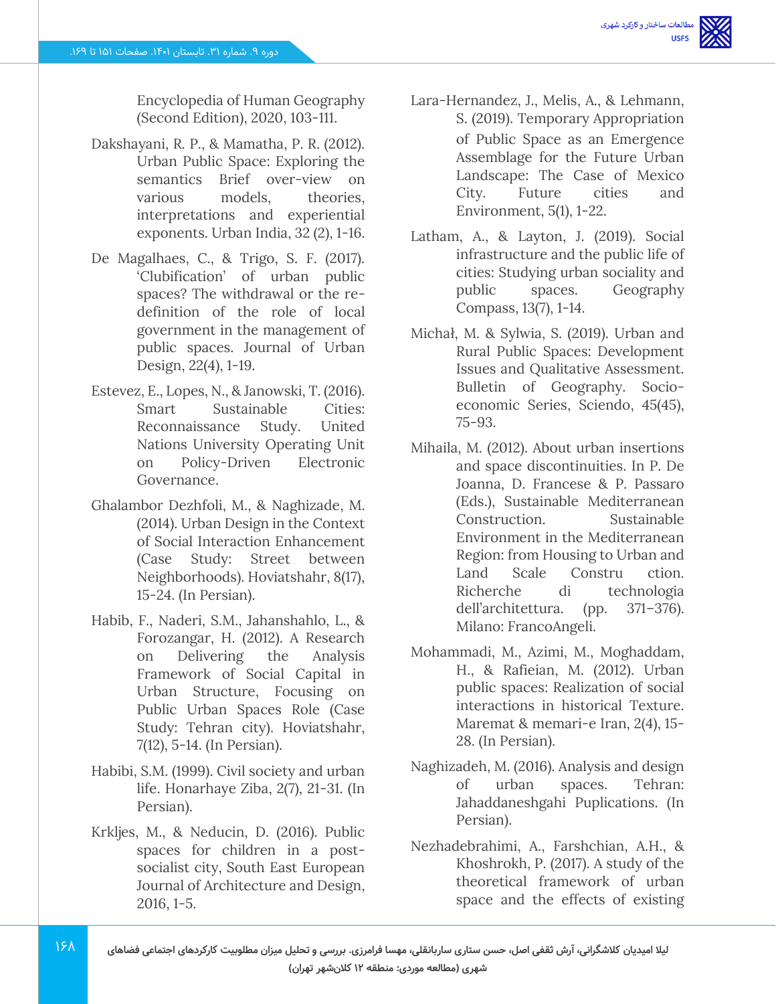Encyclopedia of Human Geography (Second Edition), 2020, 103-111.

- Dakshayani, R. P., & Mamatha, P. R. (2012). Urban Public Space: Exploring the semantics Brief over-view on various models, theories, interpretations and experiential exponents. Urban India, 32 (2), 1-16.
- De Magalhaes, C., & Trigo, S. F. (2017). 'Clubification' of urban public spaces? The withdrawal or the redefinition of the role of local government in the management of public spaces. Journal of Urban Design, 22(4), 1-19.
- Estevez, E., Lopes, N., & Janowski, T. (2016). Smart Sustainable Cities: Reconnaissance Study. United Nations University Operating Unit on Policy-Driven Electronic Governance.
- Ghalambor Dezhfoli, M., & Naghizade, M. (2014). Urban Design in the Context of Social Interaction Enhancement (Case Study: Street between Neighborhoods). Hoviatshahr, 8(17), 15-24. (In Persian).
- Habib, F., Naderi, S.M., Jahanshahlo, L., & Forozangar, H. (2012). A Research on Delivering the Analysis Framework of Social Capital in Urban Structure, Focusing on Public Urban Spaces Role (Case Study: Tehran city). Hoviatshahr, 7(12), 5-14. (In Persian).
- Habibi, S.M. (1999). Civil society and urban life. Honarhaye Ziba, 2(7), 21-31. (In Persian).
- Krkljes, M., & Neducin, D. (2016). Public spaces for children in a postsocialist city, South East European Journal of Architecture and Design, 2016, 1-5.

 $15<sub>A</sub>$ 

- Lara-Hernandez, J., Melis, A., & Lehmann, S. (2019). Temporary Appropriation of Public Space as an Emergence Assemblage for the Future Urban Landscape: The Case of Mexico City. Future cities and Environment, 5(1), 1-22.
- Latham, A., & Layton, J. (2019). Social infrastructure and the public life of cities: Studying urban sociality and public spaces. Geography Compass, 13(7), 1-14.
- Michał, M. & Sylwia, S. (2019). Urban and Rural Public Spaces: Development Issues and Qualitative Assessment. Bulletin of Geography. Socioeconomic Series, Sciendo, 45(45), 75-93.
- Mihaila, M. (2012). About urban insertions and space discontinuities. In P. De Joanna, D. Francese & P. Passaro (Eds.), Sustainable Mediterranean Construction. Sustainable Environment in the Mediterranean Region: from Housing to Urban and Land Scale Constru ction. Richerche di technologia dell'architettura. (pp. 371–376). Milano: FrancoAngeli.
- Mohammadi, M., Azimi, M., Moghaddam, H., & Rafieian, M. (2012). Urban public spaces: Realization of social interactions in historical Texture. Maremat & memari-e Iran, 2(4), 15- 28. (In Persian).
- Naghizadeh, M. (2016). Analysis and design of urban spaces. Tehran: Jahaddaneshgahi Puplications. (In Persian).
- Nezhadebrahimi, A., Farshchian, A.H., & Khoshrokh, P. (2017). A study of the theoretical framework of urban space and the effects of existing